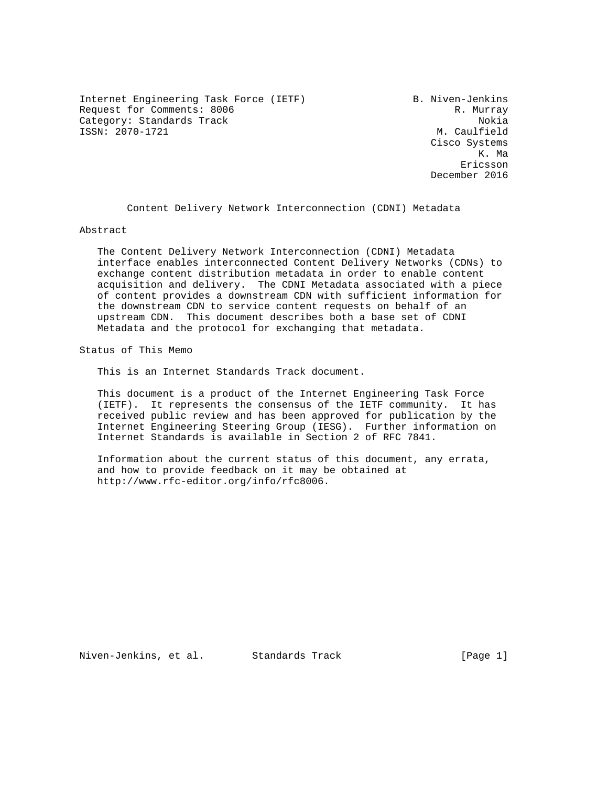Internet Engineering Task Force (IETF) B. Niven-Jenkins Request for Comments: 8006 Request for Comments: 8006 Category: Standards Track Nokia<br>
ISSN: 2070-1721 M. Caulfield ISSN: 2070-1721

 Cisco Systems K. Ma eric and the contract of the contract of the contract of the contract of the contract of the contract of the contract of the contract of the contract of the contract of the contract of the contract of the contract of the c December 2016

Content Delivery Network Interconnection (CDNI) Metadata

Abstract

 The Content Delivery Network Interconnection (CDNI) Metadata interface enables interconnected Content Delivery Networks (CDNs) to exchange content distribution metadata in order to enable content acquisition and delivery. The CDNI Metadata associated with a piece of content provides a downstream CDN with sufficient information for the downstream CDN to service content requests on behalf of an upstream CDN. This document describes both a base set of CDNI Metadata and the protocol for exchanging that metadata.

Status of This Memo

This is an Internet Standards Track document.

 This document is a product of the Internet Engineering Task Force (IETF). It represents the consensus of the IETF community. It has received public review and has been approved for publication by the Internet Engineering Steering Group (IESG). Further information on Internet Standards is available in Section 2 of RFC 7841.

 Information about the current status of this document, any errata, and how to provide feedback on it may be obtained at http://www.rfc-editor.org/info/rfc8006.

Niven-Jenkins, et al. Standards Track [Page 1]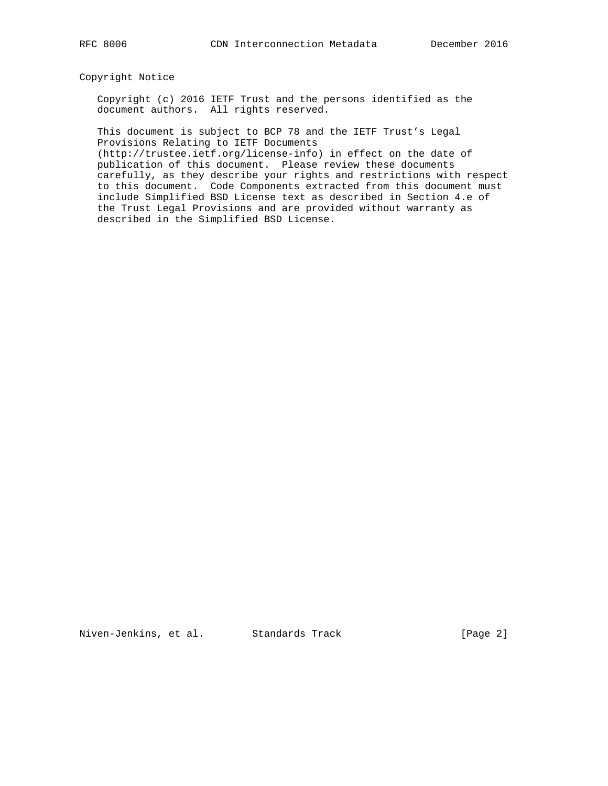Copyright Notice

 Copyright (c) 2016 IETF Trust and the persons identified as the document authors. All rights reserved.

 This document is subject to BCP 78 and the IETF Trust's Legal Provisions Relating to IETF Documents

 (http://trustee.ietf.org/license-info) in effect on the date of publication of this document. Please review these documents carefully, as they describe your rights and restrictions with respect to this document. Code Components extracted from this document must include Simplified BSD License text as described in Section 4.e of the Trust Legal Provisions and are provided without warranty as described in the Simplified BSD License.

Niven-Jenkins, et al. Standards Track [Page 2]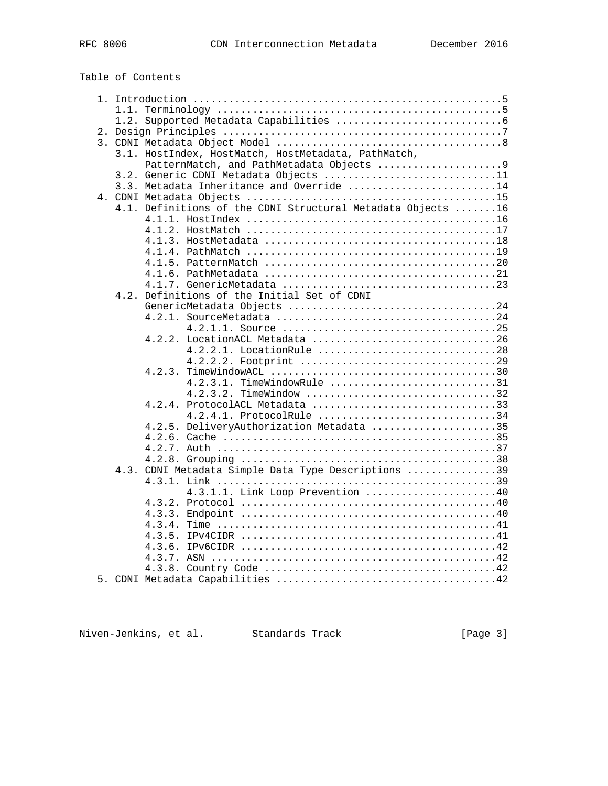# Table of Contents

|  |        | 3.1. HostIndex, HostMatch, HostMetadata, PathMatch,         |  |
|--|--------|-------------------------------------------------------------|--|
|  |        | PatternMatch, and PathMetadata Objects 9                    |  |
|  |        | 3.2. Generic CDNI Metadata Objects 11                       |  |
|  |        | 3.3. Metadata Inheritance and Override 14                   |  |
|  |        |                                                             |  |
|  |        | 4.1. Definitions of the CDNI Structural Metadata Objects 16 |  |
|  |        |                                                             |  |
|  |        |                                                             |  |
|  |        |                                                             |  |
|  |        |                                                             |  |
|  |        |                                                             |  |
|  |        |                                                             |  |
|  |        |                                                             |  |
|  |        | 4.2. Definitions of the Initial Set of CDNI                 |  |
|  |        |                                                             |  |
|  |        |                                                             |  |
|  |        |                                                             |  |
|  |        |                                                             |  |
|  |        | 4.2.2.1. LocationRule 28                                    |  |
|  |        |                                                             |  |
|  | 4.2.3. |                                                             |  |
|  |        | 4.2.3.1. TimeWindowRule 31                                  |  |
|  |        | 4.2.3.2. TimeWindow 32                                      |  |
|  |        | $4.2.4.$ ProtocolACL Metadata 33                            |  |
|  |        | $4.2.4.1.$ ProtocolRule 34                                  |  |
|  |        | 4.2.5. DeliveryAuthorization Metadata 35                    |  |
|  |        |                                                             |  |
|  |        |                                                             |  |
|  |        |                                                             |  |
|  |        | 4.3. CDNI Metadata Simple Data Type Descriptions 39         |  |
|  |        |                                                             |  |
|  |        | 4.3.1.1. Link Loop Prevention 40                            |  |
|  |        |                                                             |  |
|  |        |                                                             |  |
|  |        |                                                             |  |
|  |        |                                                             |  |
|  |        |                                                             |  |
|  |        |                                                             |  |
|  |        |                                                             |  |
|  |        |                                                             |  |
|  |        |                                                             |  |

Niven-Jenkins, et al. Standards Track [Page 3]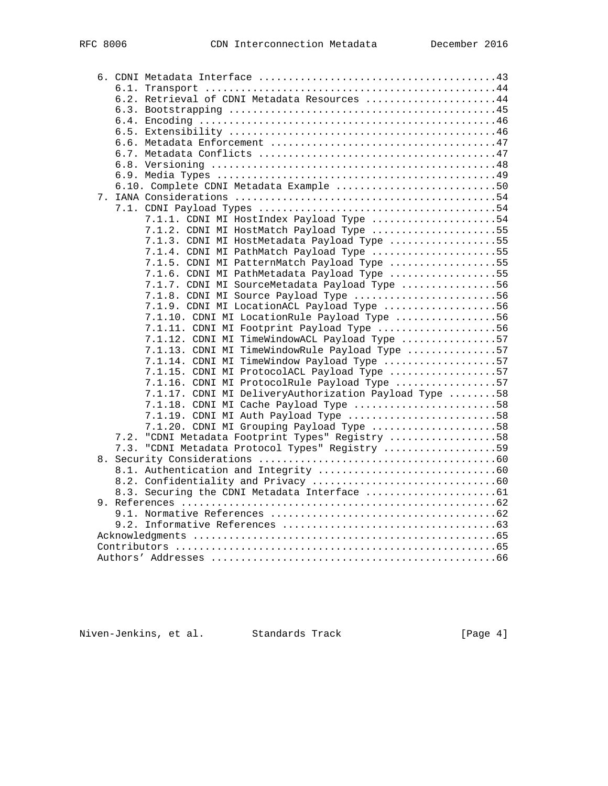|  |      | 6.2. Retrieval of CDNI Metadata Resources 44          |  |
|--|------|-------------------------------------------------------|--|
|  |      |                                                       |  |
|  |      |                                                       |  |
|  |      |                                                       |  |
|  |      |                                                       |  |
|  |      |                                                       |  |
|  |      |                                                       |  |
|  |      |                                                       |  |
|  |      | 6.10. Complete CDNI Metadata Example 50               |  |
|  |      |                                                       |  |
|  |      |                                                       |  |
|  |      | 7.1.1. CDNI MI HostIndex Payload Type 54              |  |
|  |      | 7.1.2. CDNI MI HostMatch Payload Type 55              |  |
|  |      | 7.1.3. CDNI MI HostMetadata Payload Type 55           |  |
|  |      | 7.1.4. CDNI MI PathMatch Payload Type 55              |  |
|  |      | 7.1.5. CDNI MI PatternMatch Payload Type 55           |  |
|  |      | 7.1.6. CDNI MI PathMetadata Payload Type 55           |  |
|  |      | 7.1.7. CDNI MI SourceMetadata Payload Type 56         |  |
|  |      | 7.1.8. CDNI MI Source Payload Type 56                 |  |
|  |      | 7.1.9. CDNI MI LocationACL Payload Type 56            |  |
|  |      | 7.1.10. CDNI MI LocationRule Payload Type 56          |  |
|  |      | 7.1.11. CDNI MI Footprint Payload Type 56             |  |
|  |      | 7.1.12. CDNI MI TimeWindowACL Payload Type 57         |  |
|  |      | 7.1.13. CDNI MI TimeWindowRule Payload Type 57        |  |
|  |      | 7.1.14. CDNI MI TimeWindow Payload Type 57            |  |
|  |      | 7.1.15. CDNI MI ProtocolACL Payload Type 57           |  |
|  |      | 7.1.16. CDNI MI ProtocolRule Payload Type 57          |  |
|  |      | 7.1.17. CDNI MI DeliveryAuthorization Payload Type 58 |  |
|  |      | 7.1.18. CDNI MI Cache Payload Type 58                 |  |
|  |      | 7.1.19. CDNI MI Auth Payload Type 58                  |  |
|  |      | 7.1.20. CDNI MI Grouping Payload Type 58              |  |
|  | 7.2. | "CDNI Metadata Footprint Types" Registry 58           |  |
|  | 7.3. | "CDNI Metadata Protocol Types" Registry 59            |  |
|  |      |                                                       |  |
|  |      |                                                       |  |
|  |      |                                                       |  |
|  |      |                                                       |  |
|  |      |                                                       |  |
|  |      |                                                       |  |
|  |      |                                                       |  |
|  |      |                                                       |  |
|  |      |                                                       |  |
|  |      |                                                       |  |

Niven-Jenkins, et al. Standards Track [Page 4]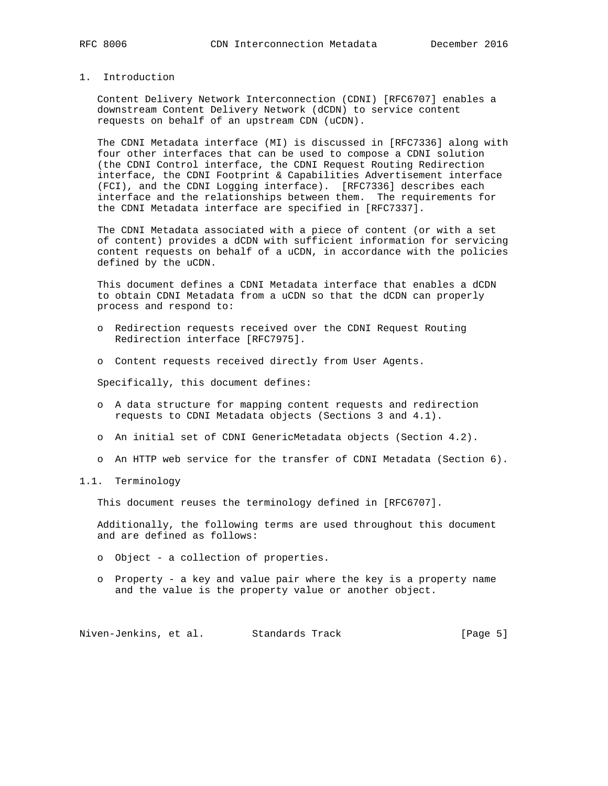# 1. Introduction

 Content Delivery Network Interconnection (CDNI) [RFC6707] enables a downstream Content Delivery Network (dCDN) to service content requests on behalf of an upstream CDN (uCDN).

 The CDNI Metadata interface (MI) is discussed in [RFC7336] along with four other interfaces that can be used to compose a CDNI solution (the CDNI Control interface, the CDNI Request Routing Redirection interface, the CDNI Footprint & Capabilities Advertisement interface (FCI), and the CDNI Logging interface). [RFC7336] describes each interface and the relationships between them. The requirements for the CDNI Metadata interface are specified in [RFC7337].

 The CDNI Metadata associated with a piece of content (or with a set of content) provides a dCDN with sufficient information for servicing content requests on behalf of a uCDN, in accordance with the policies defined by the uCDN.

 This document defines a CDNI Metadata interface that enables a dCDN to obtain CDNI Metadata from a uCDN so that the dCDN can properly process and respond to:

- o Redirection requests received over the CDNI Request Routing Redirection interface [RFC7975].
- o Content requests received directly from User Agents.

Specifically, this document defines:

- o A data structure for mapping content requests and redirection requests to CDNI Metadata objects (Sections 3 and 4.1).
- o An initial set of CDNI GenericMetadata objects (Section 4.2).
- o An HTTP web service for the transfer of CDNI Metadata (Section 6).

#### 1.1. Terminology

This document reuses the terminology defined in [RFC6707].

 Additionally, the following terms are used throughout this document and are defined as follows:

- o Object a collection of properties.
- o Property a key and value pair where the key is a property name and the value is the property value or another object.

Niven-Jenkins, et al. Standards Track [Page 5]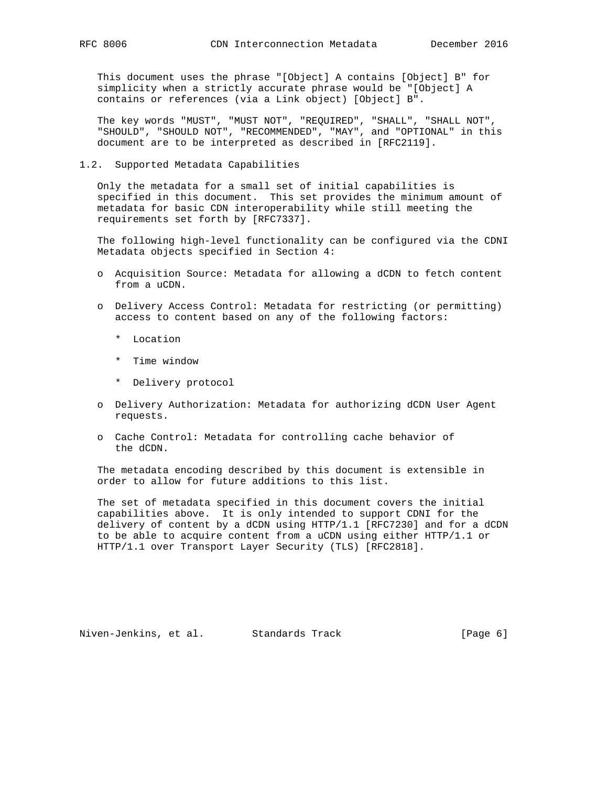This document uses the phrase "[Object] A contains [Object] B" for simplicity when a strictly accurate phrase would be "[Object] A contains or references (via a Link object) [Object] B".

 The key words "MUST", "MUST NOT", "REQUIRED", "SHALL", "SHALL NOT", "SHOULD", "SHOULD NOT", "RECOMMENDED", "MAY", and "OPTIONAL" in this document are to be interpreted as described in [RFC2119].

#### 1.2. Supported Metadata Capabilities

 Only the metadata for a small set of initial capabilities is specified in this document. This set provides the minimum amount of metadata for basic CDN interoperability while still meeting the requirements set forth by [RFC7337].

 The following high-level functionality can be configured via the CDNI Metadata objects specified in Section 4:

- o Acquisition Source: Metadata for allowing a dCDN to fetch content from a uCDN.
- o Delivery Access Control: Metadata for restricting (or permitting) access to content based on any of the following factors:
	- \* Location
	- \* Time window
	- \* Delivery protocol
- o Delivery Authorization: Metadata for authorizing dCDN User Agent requests.
- o Cache Control: Metadata for controlling cache behavior of the dCDN.

 The metadata encoding described by this document is extensible in order to allow for future additions to this list.

 The set of metadata specified in this document covers the initial capabilities above. It is only intended to support CDNI for the delivery of content by a dCDN using HTTP/1.1 [RFC7230] and for a dCDN to be able to acquire content from a uCDN using either HTTP/1.1 or HTTP/1.1 over Transport Layer Security (TLS) [RFC2818].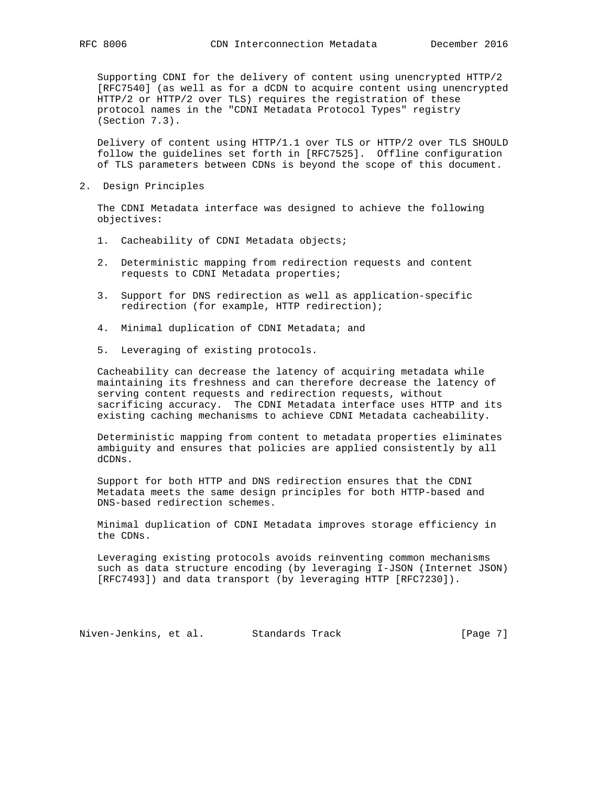Supporting CDNI for the delivery of content using unencrypted HTTP/2 [RFC7540] (as well as for a dCDN to acquire content using unencrypted HTTP/2 or HTTP/2 over TLS) requires the registration of these protocol names in the "CDNI Metadata Protocol Types" registry (Section 7.3).

 Delivery of content using HTTP/1.1 over TLS or HTTP/2 over TLS SHOULD follow the guidelines set forth in [RFC7525]. Offline configuration of TLS parameters between CDNs is beyond the scope of this document.

2. Design Principles

 The CDNI Metadata interface was designed to achieve the following objectives:

- 1. Cacheability of CDNI Metadata objects;
- 2. Deterministic mapping from redirection requests and content requests to CDNI Metadata properties;
- 3. Support for DNS redirection as well as application-specific redirection (for example, HTTP redirection);
- 4. Minimal duplication of CDNI Metadata; and
- 5. Leveraging of existing protocols.

 Cacheability can decrease the latency of acquiring metadata while maintaining its freshness and can therefore decrease the latency of serving content requests and redirection requests, without sacrificing accuracy. The CDNI Metadata interface uses HTTP and its existing caching mechanisms to achieve CDNI Metadata cacheability.

 Deterministic mapping from content to metadata properties eliminates ambiguity and ensures that policies are applied consistently by all dCDNs.

 Support for both HTTP and DNS redirection ensures that the CDNI Metadata meets the same design principles for both HTTP-based and DNS-based redirection schemes.

 Minimal duplication of CDNI Metadata improves storage efficiency in the CDNs.

 Leveraging existing protocols avoids reinventing common mechanisms such as data structure encoding (by leveraging I-JSON (Internet JSON) [RFC7493]) and data transport (by leveraging HTTP [RFC7230]).

Niven-Jenkins, et al. Standards Track [Page 7]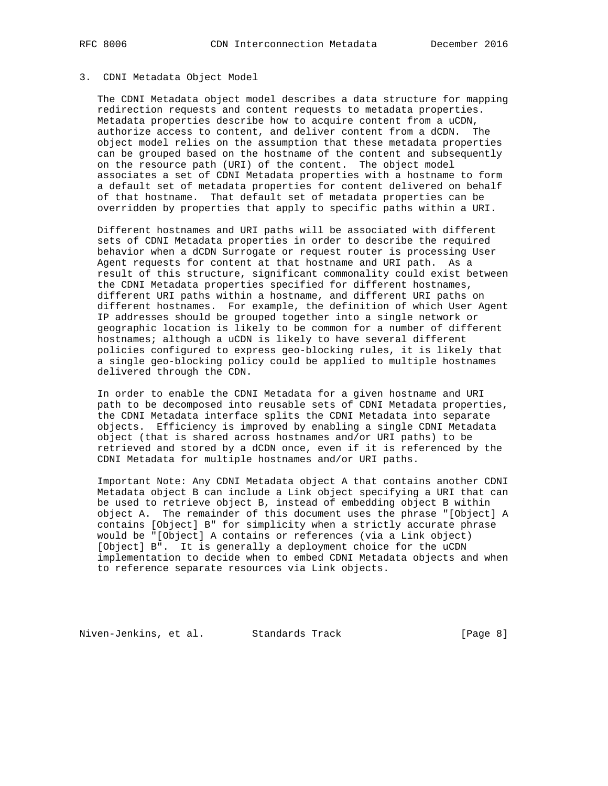#### 3. CDNI Metadata Object Model

 The CDNI Metadata object model describes a data structure for mapping redirection requests and content requests to metadata properties. Metadata properties describe how to acquire content from a uCDN, authorize access to content, and deliver content from a dCDN. The object model relies on the assumption that these metadata properties can be grouped based on the hostname of the content and subsequently on the resource path (URI) of the content. The object model associates a set of CDNI Metadata properties with a hostname to form a default set of metadata properties for content delivered on behalf of that hostname. That default set of metadata properties can be overridden by properties that apply to specific paths within a URI.

 Different hostnames and URI paths will be associated with different sets of CDNI Metadata properties in order to describe the required behavior when a dCDN Surrogate or request router is processing User Agent requests for content at that hostname and URI path. As a result of this structure, significant commonality could exist between the CDNI Metadata properties specified for different hostnames, different URI paths within a hostname, and different URI paths on different hostnames. For example, the definition of which User Agent IP addresses should be grouped together into a single network or geographic location is likely to be common for a number of different hostnames; although a uCDN is likely to have several different policies configured to express geo-blocking rules, it is likely that a single geo-blocking policy could be applied to multiple hostnames delivered through the CDN.

 In order to enable the CDNI Metadata for a given hostname and URI path to be decomposed into reusable sets of CDNI Metadata properties, the CDNI Metadata interface splits the CDNI Metadata into separate objects. Efficiency is improved by enabling a single CDNI Metadata object (that is shared across hostnames and/or URI paths) to be retrieved and stored by a dCDN once, even if it is referenced by the CDNI Metadata for multiple hostnames and/or URI paths.

 Important Note: Any CDNI Metadata object A that contains another CDNI Metadata object B can include a Link object specifying a URI that can be used to retrieve object B, instead of embedding object B within object A. The remainder of this document uses the phrase "[Object] A contains [Object] B" for simplicity when a strictly accurate phrase would be "[Object] A contains or references (via a Link object) [Object] B". It is generally a deployment choice for the uCDN implementation to decide when to embed CDNI Metadata objects and when to reference separate resources via Link objects.

Niven-Jenkins, et al. Standards Track [Page 8]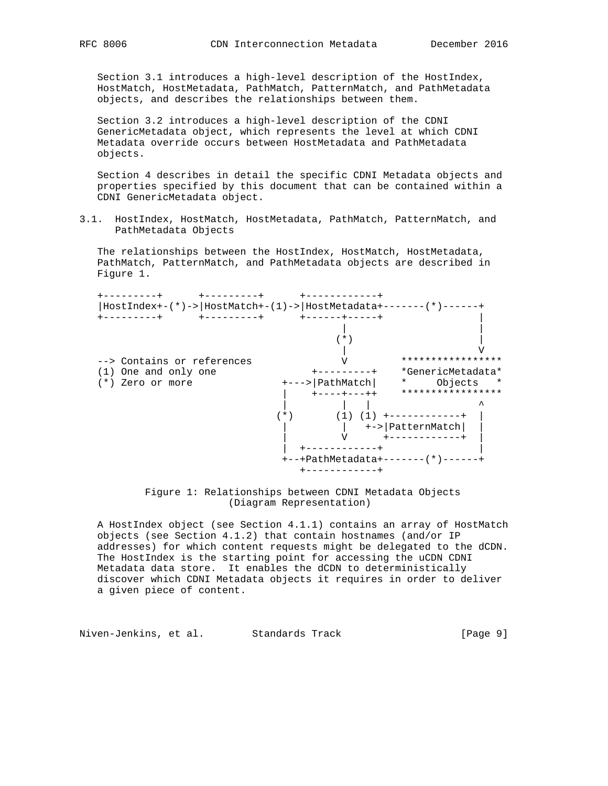Section 3.1 introduces a high-level description of the HostIndex, HostMatch, HostMetadata, PathMatch, PatternMatch, and PathMetadata objects, and describes the relationships between them.

 Section 3.2 introduces a high-level description of the CDNI GenericMetadata object, which represents the level at which CDNI Metadata override occurs between HostMetadata and PathMetadata objects.

 Section 4 describes in detail the specific CDNI Metadata objects and properties specified by this document that can be contained within a CDNI GenericMetadata object.

3.1. HostIndex, HostMatch, HostMetadata, PathMatch, PatternMatch, and PathMetadata Objects

 The relationships between the HostIndex, HostMatch, HostMetadata, PathMatch, PatternMatch, and PathMetadata objects are described in Figure 1.



 Figure 1: Relationships between CDNI Metadata Objects (Diagram Representation)

 A HostIndex object (see Section 4.1.1) contains an array of HostMatch objects (see Section 4.1.2) that contain hostnames (and/or IP addresses) for which content requests might be delegated to the dCDN. The HostIndex is the starting point for accessing the uCDN CDNI Metadata data store. It enables the dCDN to deterministically discover which CDNI Metadata objects it requires in order to deliver a given piece of content.

Niven-Jenkins, et al. Standards Track [Page 9]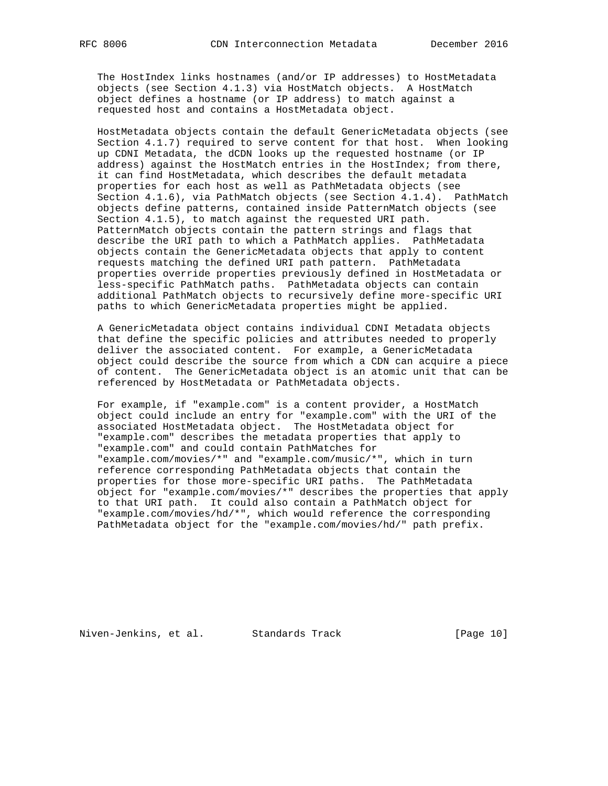The HostIndex links hostnames (and/or IP addresses) to HostMetadata objects (see Section 4.1.3) via HostMatch objects. A HostMatch object defines a hostname (or IP address) to match against a requested host and contains a HostMetadata object.

 HostMetadata objects contain the default GenericMetadata objects (see Section 4.1.7) required to serve content for that host. When looking up CDNI Metadata, the dCDN looks up the requested hostname (or IP address) against the HostMatch entries in the HostIndex; from there, it can find HostMetadata, which describes the default metadata properties for each host as well as PathMetadata objects (see Section 4.1.6), via PathMatch objects (see Section 4.1.4). PathMatch objects define patterns, contained inside PatternMatch objects (see Section 4.1.5), to match against the requested URI path. PatternMatch objects contain the pattern strings and flags that describe the URI path to which a PathMatch applies. PathMetadata objects contain the GenericMetadata objects that apply to content requests matching the defined URI path pattern. PathMetadata properties override properties previously defined in HostMetadata or less-specific PathMatch paths. PathMetadata objects can contain additional PathMatch objects to recursively define more-specific URI paths to which GenericMetadata properties might be applied.

 A GenericMetadata object contains individual CDNI Metadata objects that define the specific policies and attributes needed to properly deliver the associated content. For example, a GenericMetadata object could describe the source from which a CDN can acquire a piece of content. The GenericMetadata object is an atomic unit that can be referenced by HostMetadata or PathMetadata objects.

For example, if "example.com" is a content provider, a HostMatch object could include an entry for "example.com" with the URI of the associated HostMetadata object. The HostMetadata object for "example.com" describes the metadata properties that apply to "example.com" and could contain PathMatches for "example.com/movies/\*" and "example.com/music/\*", which in turn reference corresponding PathMetadata objects that contain the properties for those more-specific URI paths. The PathMetadata object for "example.com/movies/\*" describes the properties that apply to that URI path. It could also contain a PathMatch object for "example.com/movies/hd/\*", which would reference the corresponding PathMetadata object for the "example.com/movies/hd/" path prefix.

Niven-Jenkins, et al. Standards Track [Page 10]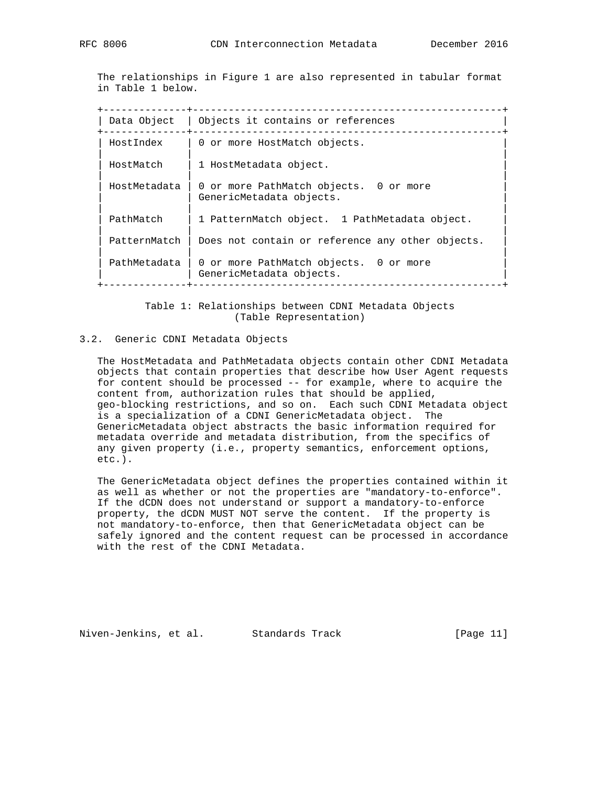The relationships in Figure 1 are also represented in tabular format in Table 1 below.

 +--------------+----------------------------------------------------+ | Data Object | Objects it contains or references +--------------+----------------------------------------------------+ HostIndex | 0 or more HostMatch objects. | | | | HostMatch | 1 HostMetadata object. | | | | | HostMetadata | 0 or more PathMatch objects. 0 or more | | | GenericMetadata objects. | | | PathMatch | 1 PatternMatch object. 1 PathMetadata object. | | | PatternMatch  $|$  Does not contain or reference any other objects. | | | PathMetadata | 0 or more PathMatch objects. 0 or more | GenericMetadata objects. +--------------+----------------------------------------------------+

> Table 1: Relationships between CDNI Metadata Objects (Table Representation)

### 3.2. Generic CDNI Metadata Objects

 The HostMetadata and PathMetadata objects contain other CDNI Metadata objects that contain properties that describe how User Agent requests for content should be processed -- for example, where to acquire the content from, authorization rules that should be applied, geo-blocking restrictions, and so on. Each such CDNI Metadata object is a specialization of a CDNI GenericMetadata object. The GenericMetadata object abstracts the basic information required for metadata override and metadata distribution, from the specifics of any given property (i.e., property semantics, enforcement options, etc.).

 The GenericMetadata object defines the properties contained within it as well as whether or not the properties are "mandatory-to-enforce". If the dCDN does not understand or support a mandatory-to-enforce property, the dCDN MUST NOT serve the content. If the property is not mandatory-to-enforce, then that GenericMetadata object can be safely ignored and the content request can be processed in accordance with the rest of the CDNI Metadata.

Niven-Jenkins, et al. Standards Track [Page 11]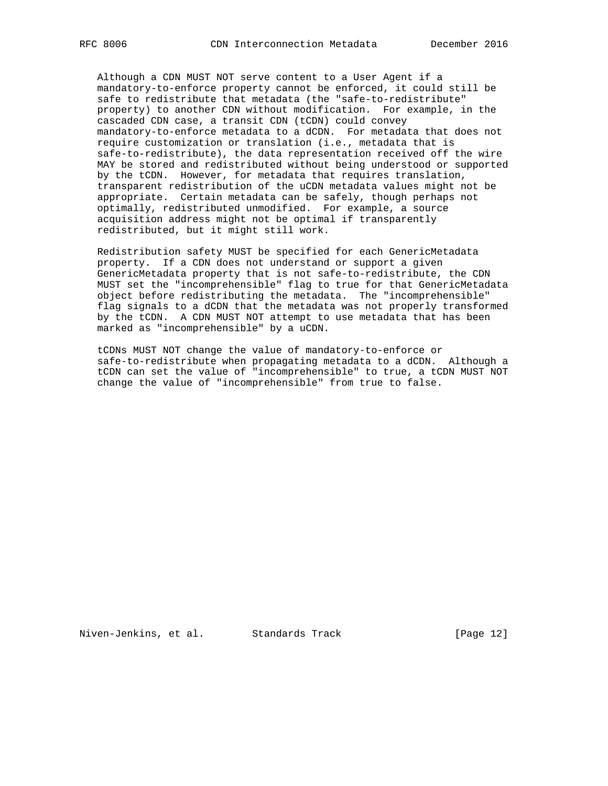Although a CDN MUST NOT serve content to a User Agent if a mandatory-to-enforce property cannot be enforced, it could still be safe to redistribute that metadata (the "safe-to-redistribute" property) to another CDN without modification. For example, in the cascaded CDN case, a transit CDN (tCDN) could convey mandatory-to-enforce metadata to a dCDN. For metadata that does not require customization or translation (i.e., metadata that is safe-to-redistribute), the data representation received off the wire MAY be stored and redistributed without being understood or supported by the tCDN. However, for metadata that requires translation, transparent redistribution of the uCDN metadata values might not be appropriate. Certain metadata can be safely, though perhaps not optimally, redistributed unmodified. For example, a source acquisition address might not be optimal if transparently redistributed, but it might still work.

 Redistribution safety MUST be specified for each GenericMetadata property. If a CDN does not understand or support a given GenericMetadata property that is not safe-to-redistribute, the CDN MUST set the "incomprehensible" flag to true for that GenericMetadata object before redistributing the metadata. The "incomprehensible" flag signals to a dCDN that the metadata was not properly transformed by the tCDN. A CDN MUST NOT attempt to use metadata that has been marked as "incomprehensible" by a uCDN.

 tCDNs MUST NOT change the value of mandatory-to-enforce or safe-to-redistribute when propagating metadata to a dCDN. Although a tCDN can set the value of "incomprehensible" to true, a tCDN MUST NOT change the value of "incomprehensible" from true to false.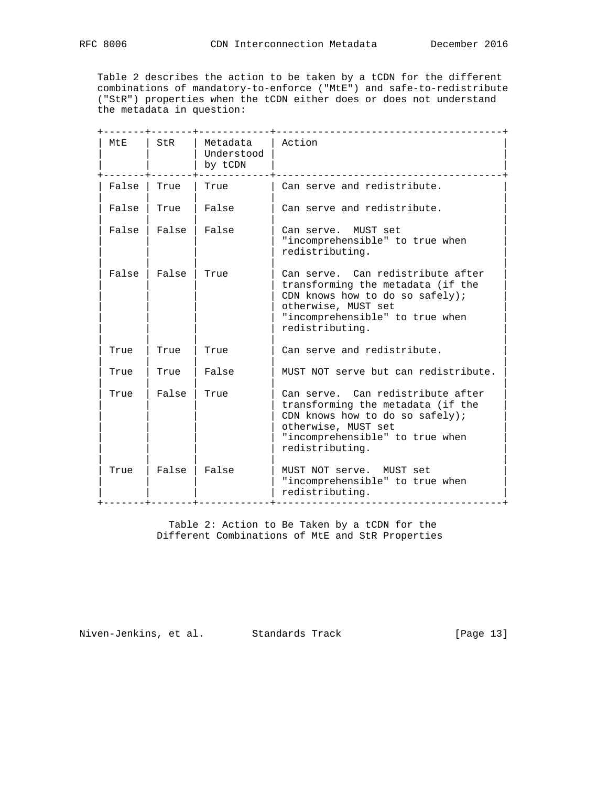Table 2 describes the action to be taken by a tCDN for the different combinations of mandatory-to-enforce ("MtE") and safe-to-redistribute ("StR") properties when the tCDN either does or does not understand the metadata in question:

| MtE   | StR   | Metadata<br>Understood<br>by tCDN | Action                                                                                                                                                                                 |
|-------|-------|-----------------------------------|----------------------------------------------------------------------------------------------------------------------------------------------------------------------------------------|
| False | True  | True                              | Can serve and redistribute.                                                                                                                                                            |
| False | True  | False                             | Can serve and redistribute.                                                                                                                                                            |
| False | False | False                             | Can serve. MUST set<br>"incomprehensible" to true when<br>redistributing.                                                                                                              |
| False | False | True                              | Can serve. Can redistribute after<br>transforming the metadata (if the<br>CDN knows how to do so safely);<br>otherwise, MUST set<br>"incomprehensible" to true when<br>redistributing. |
| True  | True  | True                              | Can serve and redistribute.                                                                                                                                                            |
| True  | True  | False                             | MUST NOT serve but can redistribute.                                                                                                                                                   |
| True  | False | True                              | Can serve. Can redistribute after<br>transforming the metadata (if the<br>CDN knows how to do so safely);<br>otherwise, MUST set<br>"incomprehensible" to true when<br>redistributing. |
| True  | False | False                             | MUST NOT serve. MUST set<br>"incomprehensible" to true when<br>redistributing.<br>_____________________                                                                                |

 Table 2: Action to Be Taken by a tCDN for the Different Combinations of MtE and StR Properties

Niven-Jenkins, et al. Standards Track [Page 13]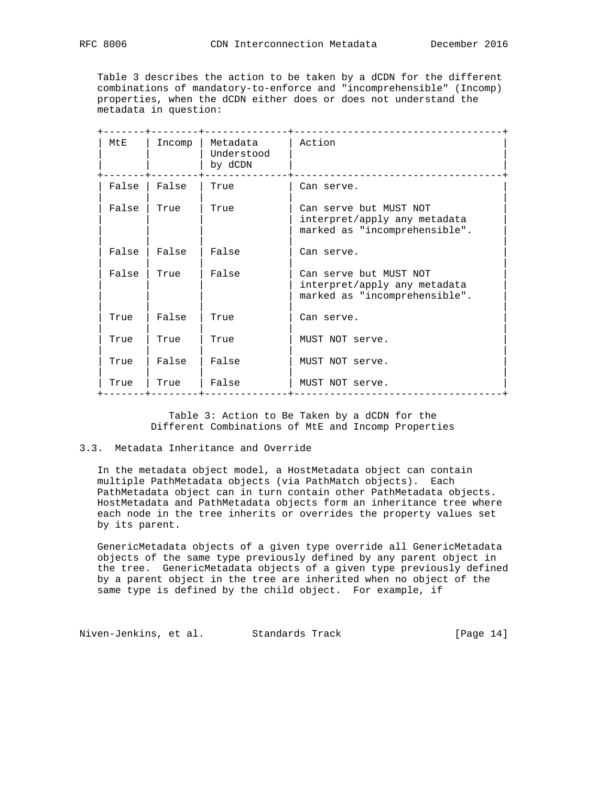Table 3 describes the action to be taken by a dCDN for the different combinations of mandatory-to-enforce and "incomprehensible" (Incomp) properties, when the dCDN either does or does not understand the metadata in question:

| MtE   | Incomp | Metadata<br>Understood<br>by dCDN | Action                                                                                  |
|-------|--------|-----------------------------------|-----------------------------------------------------------------------------------------|
| False | False  | True                              | Can serve.                                                                              |
| False | True   | True                              | Can serve but MUST NOT<br>interpret/apply any metadata<br>marked as "incomprehensible". |
| False | False  | False                             | Can serve.                                                                              |
| False | True   | False                             | Can serve but MUST NOT<br>interpret/apply any metadata<br>marked as "incomprehensible". |
| True  | False  | True                              | Can serve.                                                                              |
| True  | True   | True                              | MUST NOT serve.                                                                         |
| True  | False  | False                             | MUST NOT serve.                                                                         |
| True  | True   | False                             | MUST NOT serve.                                                                         |

 Table 3: Action to Be Taken by a dCDN for the Different Combinations of MtE and Incomp Properties

# 3.3. Metadata Inheritance and Override

 In the metadata object model, a HostMetadata object can contain multiple PathMetadata objects (via PathMatch objects). Each PathMetadata object can in turn contain other PathMetadata objects. HostMetadata and PathMetadata objects form an inheritance tree where each node in the tree inherits or overrides the property values set by its parent.

 GenericMetadata objects of a given type override all GenericMetadata objects of the same type previously defined by any parent object in the tree. GenericMetadata objects of a given type previously defined by a parent object in the tree are inherited when no object of the same type is defined by the child object. For example, if

Niven-Jenkins, et al. Standards Track [Page 14]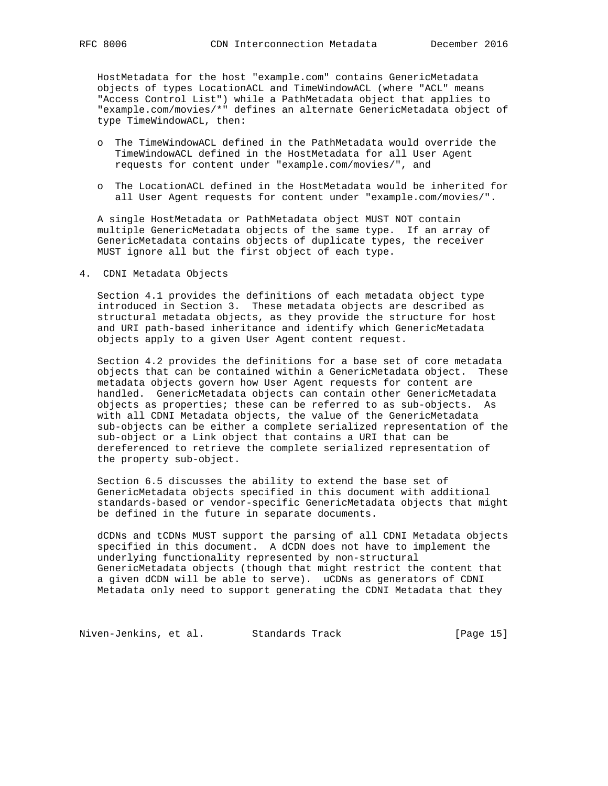HostMetadata for the host "example.com" contains GenericMetadata objects of types LocationACL and TimeWindowACL (where "ACL" means "Access Control List") while a PathMetadata object that applies to "example.com/movies/\*" defines an alternate GenericMetadata object of type TimeWindowACL, then:

- o The TimeWindowACL defined in the PathMetadata would override the TimeWindowACL defined in the HostMetadata for all User Agent requests for content under "example.com/movies/", and
- o The LocationACL defined in the HostMetadata would be inherited for all User Agent requests for content under "example.com/movies/".

 A single HostMetadata or PathMetadata object MUST NOT contain multiple GenericMetadata objects of the same type. If an array of GenericMetadata contains objects of duplicate types, the receiver MUST ignore all but the first object of each type.

4. CDNI Metadata Objects

 Section 4.1 provides the definitions of each metadata object type introduced in Section 3. These metadata objects are described as structural metadata objects, as they provide the structure for host and URI path-based inheritance and identify which GenericMetadata objects apply to a given User Agent content request.

 Section 4.2 provides the definitions for a base set of core metadata objects that can be contained within a GenericMetadata object. These metadata objects govern how User Agent requests for content are handled. GenericMetadata objects can contain other GenericMetadata objects as properties; these can be referred to as sub-objects. As with all CDNI Metadata objects, the value of the GenericMetadata sub-objects can be either a complete serialized representation of the sub-object or a Link object that contains a URI that can be dereferenced to retrieve the complete serialized representation of the property sub-object.

 Section 6.5 discusses the ability to extend the base set of GenericMetadata objects specified in this document with additional standards-based or vendor-specific GenericMetadata objects that might be defined in the future in separate documents.

 dCDNs and tCDNs MUST support the parsing of all CDNI Metadata objects specified in this document. A dCDN does not have to implement the underlying functionality represented by non-structural GenericMetadata objects (though that might restrict the content that a given dCDN will be able to serve). uCDNs as generators of CDNI Metadata only need to support generating the CDNI Metadata that they

Niven-Jenkins, et al. Standards Track [Page 15]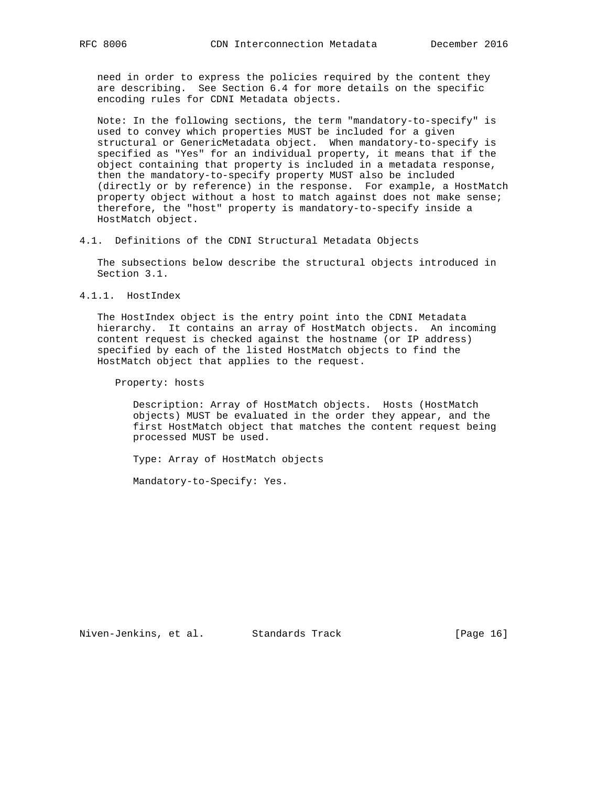need in order to express the policies required by the content they are describing. See Section 6.4 for more details on the specific encoding rules for CDNI Metadata objects.

 Note: In the following sections, the term "mandatory-to-specify" is used to convey which properties MUST be included for a given structural or GenericMetadata object. When mandatory-to-specify is specified as "Yes" for an individual property, it means that if the object containing that property is included in a metadata response, then the mandatory-to-specify property MUST also be included (directly or by reference) in the response. For example, a HostMatch property object without a host to match against does not make sense; therefore, the "host" property is mandatory-to-specify inside a HostMatch object.

4.1. Definitions of the CDNI Structural Metadata Objects

 The subsections below describe the structural objects introduced in Section 3.1.

4.1.1. HostIndex

 The HostIndex object is the entry point into the CDNI Metadata hierarchy. It contains an array of HostMatch objects. An incoming content request is checked against the hostname (or IP address) specified by each of the listed HostMatch objects to find the HostMatch object that applies to the request.

Property: hosts

Description: Array of HostMatch objects. Hosts (HostMatch objects) MUST be evaluated in the order they appear, and the first HostMatch object that matches the content request being processed MUST be used.

Type: Array of HostMatch objects

Mandatory-to-Specify: Yes.

Niven-Jenkins, et al. Standards Track [Page 16]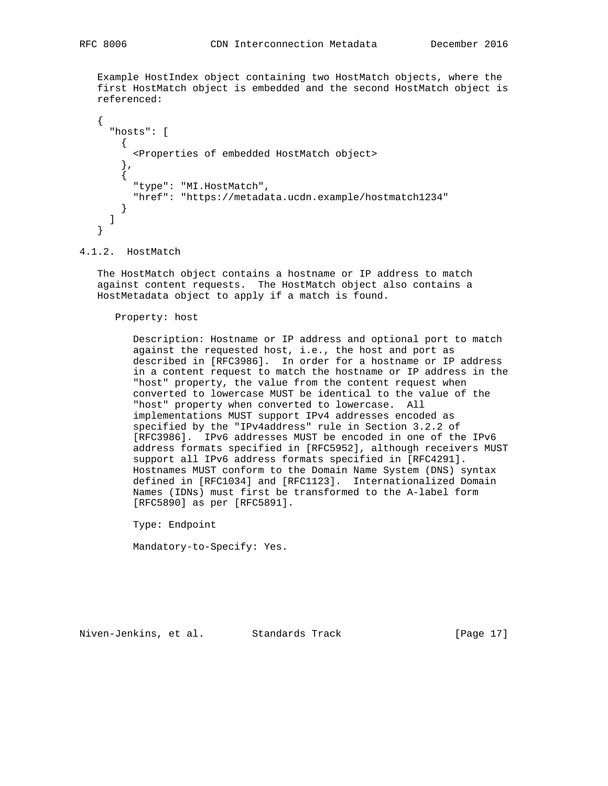Example HostIndex object containing two HostMatch objects, where the first HostMatch object is embedded and the second HostMatch object is referenced:

```
\{ \cdot \cdot \cdot \cdot \cdot \cdot \cdot \cdot \cdot \cdot \cdot \cdot \cdot \cdot \cdot \cdot \cdot \cdot \cdot \cdot \cdot \cdot \cdot \cdot \cdot \cdot \cdot \cdot \cdot \cdot \cdot \cdot \cdot \cdot \cdot \cdot 
              "hosts": [
                  {
                       <Properties of embedded HostMatch object>
                   },
                   {
                        "type": "MI.HostMatch",
                        "href": "https://metadata.ucdn.example/hostmatch1234"
                  }
             ]
        }
```
#### 4.1.2. HostMatch

 The HostMatch object contains a hostname or IP address to match against content requests. The HostMatch object also contains a HostMetadata object to apply if a match is found.

Property: host

 Description: Hostname or IP address and optional port to match against the requested host, i.e., the host and port as described in [RFC3986]. In order for a hostname or IP address in a content request to match the hostname or IP address in the "host" property, the value from the content request when converted to lowercase MUST be identical to the value of the "host" property when converted to lowercase. All implementations MUST support IPv4 addresses encoded as specified by the "IPv4address" rule in Section 3.2.2 of [RFC3986]. IPv6 addresses MUST be encoded in one of the IPv6 address formats specified in [RFC5952], although receivers MUST support all IPv6 address formats specified in [RFC4291]. Hostnames MUST conform to the Domain Name System (DNS) syntax defined in [RFC1034] and [RFC1123]. Internationalized Domain Names (IDNs) must first be transformed to the A-label form [RFC5890] as per [RFC5891].

Type: Endpoint

Mandatory-to-Specify: Yes.

Niven-Jenkins, et al. Standards Track [Page 17]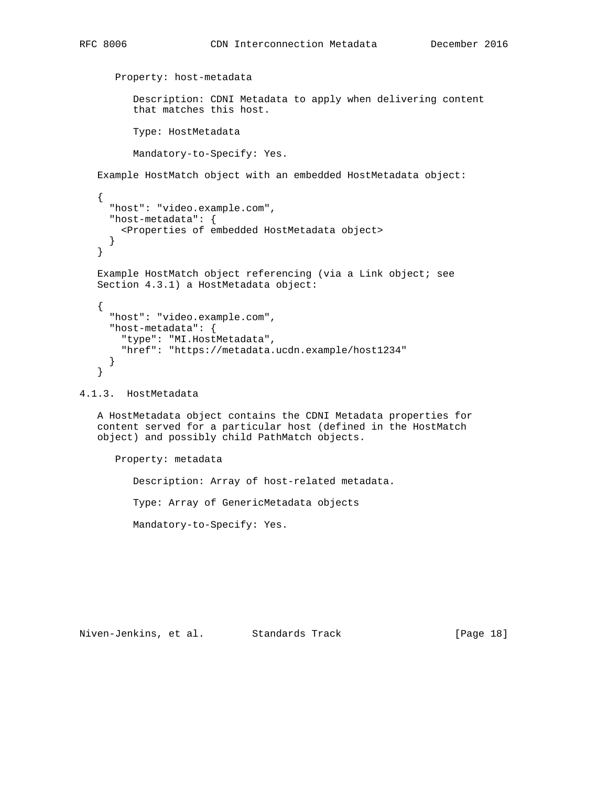```
 Property: host-metadata
             Description: CDNI Metadata to apply when delivering content
             that matches this host.
             Type: HostMetadata
             Mandatory-to-Specify: Yes.
     Example HostMatch object with an embedded HostMetadata object:
     {
        "host": "video.example.com",
        "host-metadata": {
          <Properties of embedded HostMetadata object>
        }
     }
     Example HostMatch object referencing (via a Link object; see
     Section 4.3.1) a HostMetadata object:
\{ \cdot \cdot \cdot \cdot \cdot \cdot \cdot \cdot \cdot \cdot \cdot \cdot \cdot \cdot \cdot \cdot \cdot \cdot \cdot \cdot \cdot \cdot \cdot \cdot \cdot \cdot \cdot \cdot \cdot \cdot \cdot \cdot \cdot \cdot \cdot \cdot 
        "host": "video.example.com",
        "host-metadata": {
          "type": "MI.HostMetadata",
           "href": "https://metadata.ucdn.example/host1234"
        }
     }
4.1.3. HostMetadata
```
 A HostMetadata object contains the CDNI Metadata properties for content served for a particular host (defined in the HostMatch object) and possibly child PathMatch objects.

 Property: metadata Description: Array of host-related metadata. Type: Array of GenericMetadata objects Mandatory-to-Specify: Yes.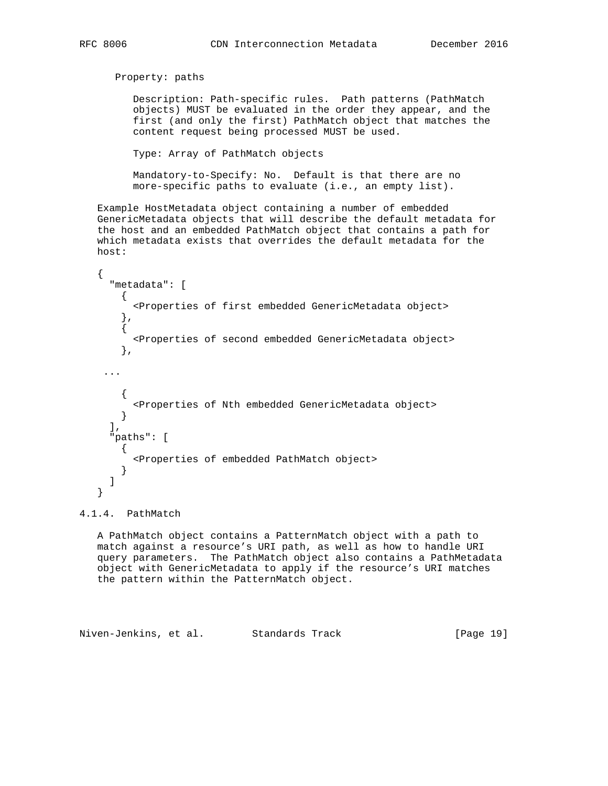```
 Property: paths
            Description: Path-specific rules. Path patterns (PathMatch
            objects) MUST be evaluated in the order they appear, and the
            first (and only the first) PathMatch object that matches the
            content request being processed MUST be used.
            Type: Array of PathMatch objects
            Mandatory-to-Specify: No. Default is that there are no
            more-specific paths to evaluate (i.e., an empty list).
    Example HostMetadata object containing a number of embedded
    GenericMetadata objects that will describe the default metadata for
    the host and an embedded PathMatch object that contains a path for
    which metadata exists that overrides the default metadata for the
    host:
\{ \cdot \cdot \cdot \cdot \cdot \cdot \cdot \cdot \cdot \cdot \cdot \cdot \cdot \cdot \cdot \cdot \cdot \cdot \cdot \cdot \cdot \cdot \cdot \cdot \cdot \cdot \cdot \cdot \cdot \cdot \cdot \cdot \cdot \cdot \cdot \cdot 
       "metadata": [
         {
            <Properties of first embedded GenericMetadata object>
 },
\{ <Properties of second embedded GenericMetadata object>
         },
      ...
         {
            <Properties of Nth embedded GenericMetadata object>
         }
      \left| \cdot \right| "paths": [
       \left\{ \right. <Properties of embedded PathMatch object>
         }
       ]
```
#### 4.1.4. PathMatch

}

 A PathMatch object contains a PatternMatch object with a path to match against a resource's URI path, as well as how to handle URI query parameters. The PathMatch object also contains a PathMetadata object with GenericMetadata to apply if the resource's URI matches the pattern within the PatternMatch object.

Niven-Jenkins, et al. Standards Track [Page 19]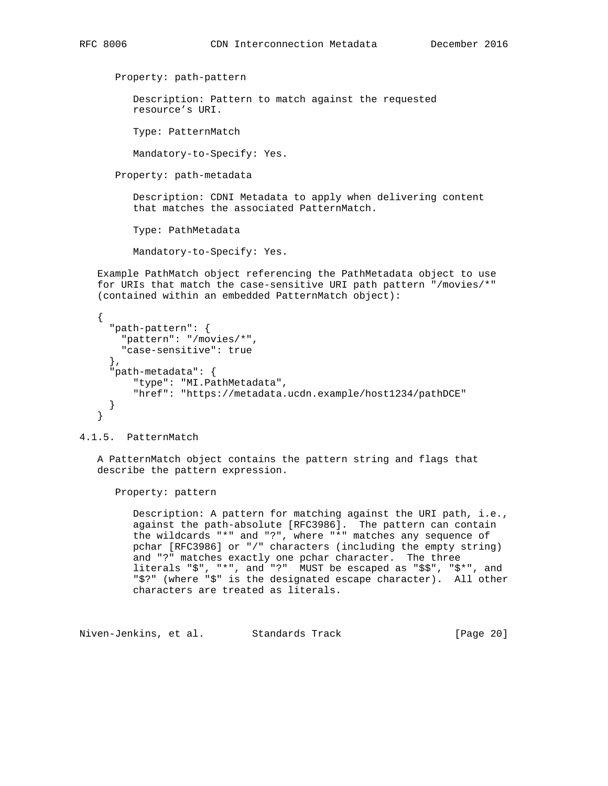```
 Property: path-pattern
       Description: Pattern to match against the requested
       resource's URI.
       Type: PatternMatch
       Mandatory-to-Specify: Yes.
    Property: path-metadata
       Description: CDNI Metadata to apply when delivering content
       that matches the associated PatternMatch.
       Type: PathMetadata
       Mandatory-to-Specify: Yes.
 Example PathMatch object referencing the PathMetadata object to use
 for URIs that match the case-sensitive URI path pattern "/movies/*"
 (contained within an embedded PatternMatch object):
\mathcal{L} "path-pattern": {
     "pattern": "/movies/*",
```
Property: pattern

"path-metadata": {

"case-sensitive": true

describe the pattern expression.

"type": "MI.PathMetadata",

},

 } }

4.1.5. PatternMatch

 Description: A pattern for matching against the URI path, i.e., against the path-absolute [RFC3986]. The pattern can contain the wildcards "\*" and "?", where "\*" matches any sequence of pchar [RFC3986] or "/" characters (including the empty string) and "?" matches exactly one pchar character. The three literals "\$", "\*", and "?" MUST be escaped as "\$\$", "\$\*", and "\$?" (where "\$" is the designated escape character). All other characters are treated as literals.

"href": "https://metadata.ucdn.example/host1234/pathDCE"

A PatternMatch object contains the pattern string and flags that

Niven-Jenkins, et al. Standards Track [Page 20]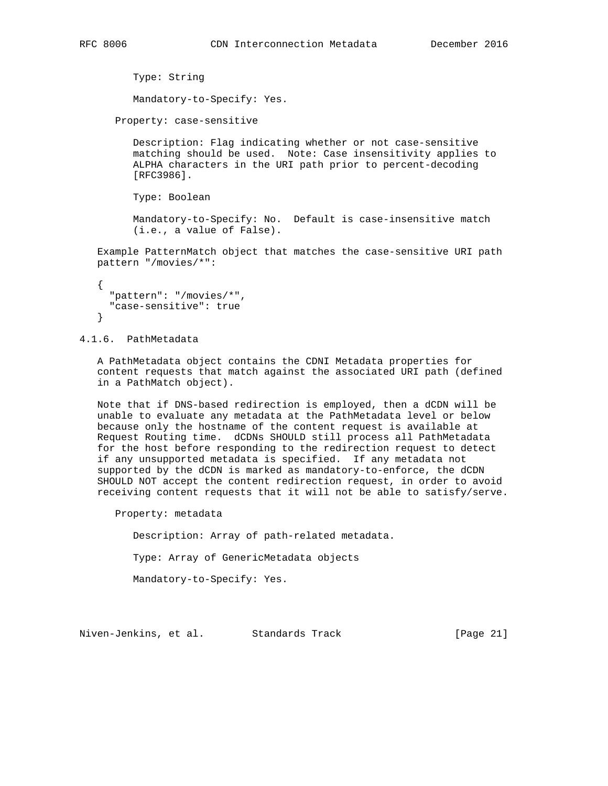```
 Type: String
    Mandatory-to-Specify: Yes.
 Property: case-sensitive
```
 Description: Flag indicating whether or not case-sensitive matching should be used. Note: Case insensitivity applies to ALPHA characters in the URI path prior to percent-decoding [RFC3986].

Type: Boolean

 Mandatory-to-Specify: No. Default is case-insensitive match (i.e., a value of False).

 Example PatternMatch object that matches the case-sensitive URI path pattern "/movies/\*":

```
 {
   "pattern": "/movies/*",
   "case-sensitive": true
 }
```
4.1.6. PathMetadata

 A PathMetadata object contains the CDNI Metadata properties for content requests that match against the associated URI path (defined in a PathMatch object).

 Note that if DNS-based redirection is employed, then a dCDN will be unable to evaluate any metadata at the PathMetadata level or below because only the hostname of the content request is available at Request Routing time. dCDNs SHOULD still process all PathMetadata for the host before responding to the redirection request to detect if any unsupported metadata is specified. If any metadata not supported by the dCDN is marked as mandatory-to-enforce, the dCDN SHOULD NOT accept the content redirection request, in order to avoid receiving content requests that it will not be able to satisfy/serve.

Property: metadata

Description: Array of path-related metadata.

Type: Array of GenericMetadata objects

Mandatory-to-Specify: Yes.

Niven-Jenkins, et al. Standards Track [Page 21]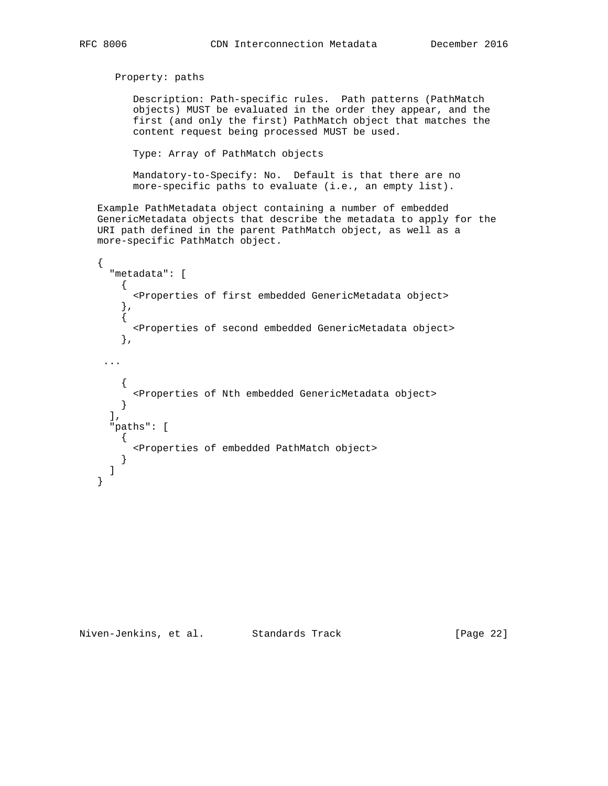```
 Property: paths
          Description: Path-specific rules. Path patterns (PathMatch
          objects) MUST be evaluated in the order they appear, and the
          first (and only the first) PathMatch object that matches the
          content request being processed MUST be used.
          Type: Array of PathMatch objects
          Mandatory-to-Specify: No. Default is that there are no
          more-specific paths to evaluate (i.e., an empty list).
   Example PathMetadata object containing a number of embedded
   GenericMetadata objects that describe the metadata to apply for the
   URI path defined in the parent PathMatch object, as well as a
   more-specific PathMatch object.
   {
      "metadata": [
       \left\{ \right. <Properties of first embedded GenericMetadata object>
        },
\{ <Properties of second embedded GenericMetadata object>
        },
     ...
        {
          <Properties of Nth embedded GenericMetadata object>
       }
     \,], \, "paths": [
       {
          <Properties of embedded PathMatch object>
       }
      ]
   }
```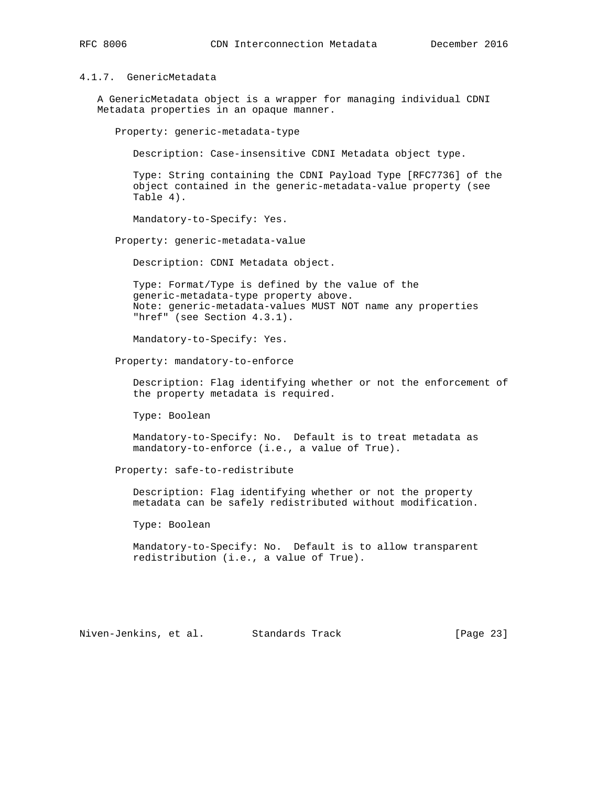# 4.1.7. GenericMetadata

 A GenericMetadata object is a wrapper for managing individual CDNI Metadata properties in an opaque manner.

Property: generic-metadata-type

Description: Case-insensitive CDNI Metadata object type.

 Type: String containing the CDNI Payload Type [RFC7736] of the object contained in the generic-metadata-value property (see Table 4).

Mandatory-to-Specify: Yes.

Property: generic-metadata-value

Description: CDNI Metadata object.

 Type: Format/Type is defined by the value of the generic-metadata-type property above. Note: generic-metadata-values MUST NOT name any properties "href" (see Section 4.3.1).

Mandatory-to-Specify: Yes.

Property: mandatory-to-enforce

 Description: Flag identifying whether or not the enforcement of the property metadata is required.

Type: Boolean

 Mandatory-to-Specify: No. Default is to treat metadata as mandatory-to-enforce (i.e., a value of True).

Property: safe-to-redistribute

 Description: Flag identifying whether or not the property metadata can be safely redistributed without modification.

Type: Boolean

 Mandatory-to-Specify: No. Default is to allow transparent redistribution (i.e., a value of True).

Niven-Jenkins, et al. Standards Track [Page 23]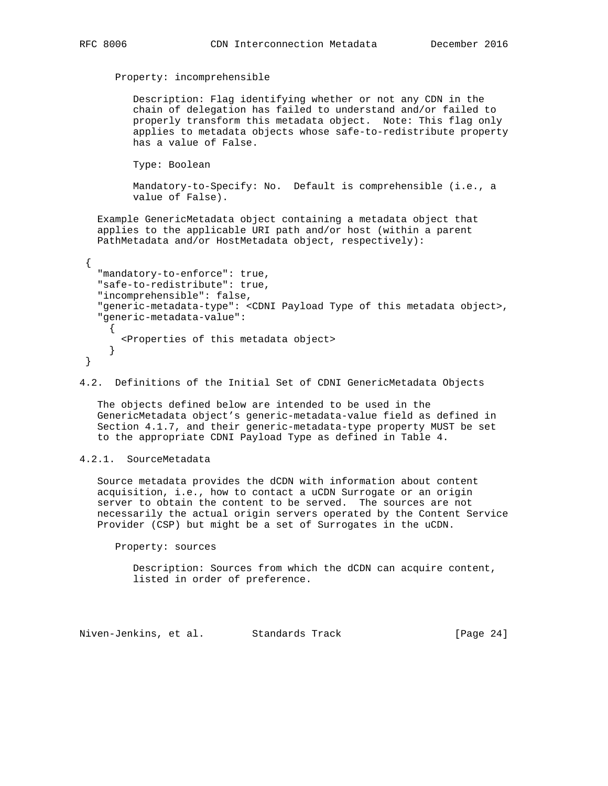```
 Property: incomprehensible
```
 Description: Flag identifying whether or not any CDN in the chain of delegation has failed to understand and/or failed to properly transform this metadata object. Note: This flag only applies to metadata objects whose safe-to-redistribute property has a value of False.

Type: Boolean

 Mandatory-to-Specify: No. Default is comprehensible (i.e., a value of False).

 Example GenericMetadata object containing a metadata object that applies to the applicable URI path and/or host (within a parent PathMetadata and/or HostMetadata object, respectively):

```
 {
    "mandatory-to-enforce": true,
    "safe-to-redistribute": true,
    "incomprehensible": false,
    "generic-metadata-type": <CDNI Payload Type of this metadata object>,
    "generic-metadata-value":
\left\{\begin{array}{ccc} \end{array}\right\} <Properties of this metadata object>
       }
 }
```
4.2. Definitions of the Initial Set of CDNI GenericMetadata Objects

 The objects defined below are intended to be used in the GenericMetadata object's generic-metadata-value field as defined in Section 4.1.7, and their generic-metadata-type property MUST be set to the appropriate CDNI Payload Type as defined in Table 4.

#### 4.2.1. SourceMetadata

 Source metadata provides the dCDN with information about content acquisition, i.e., how to contact a uCDN Surrogate or an origin server to obtain the content to be served. The sources are not necessarily the actual origin servers operated by the Content Service Provider (CSP) but might be a set of Surrogates in the uCDN.

Property: sources

 Description: Sources from which the dCDN can acquire content, listed in order of preference.

Niven-Jenkins, et al. Standards Track [Page 24]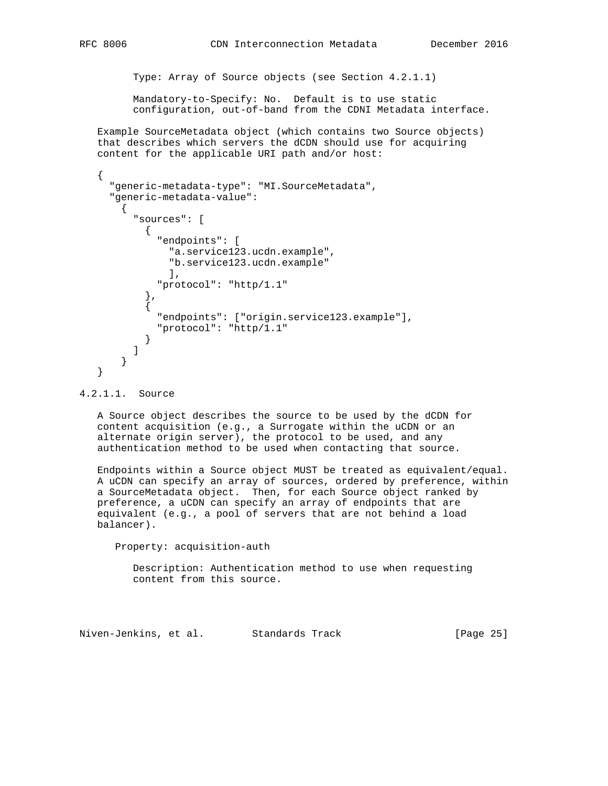Type: Array of Source objects (see Section 4.2.1.1)

 Mandatory-to-Specify: No. Default is to use static configuration, out-of-band from the CDNI Metadata interface.

 Example SourceMetadata object (which contains two Source objects) that describes which servers the dCDN should use for acquiring content for the applicable URI path and/or host:

```
 {
     "generic-metadata-type": "MI.SourceMetadata",
     "generic-metadata-value":
       {
         "sources": [
\{ "endpoints": [
               "a.service123.ucdn.example",
               "b.service123.ucdn.example"
               ],
             "protocol": "http/1.1"
           },
\{ "endpoints": ["origin.service123.example"],
             "protocol": "http/1.1"
 }
         ]
       }
   }
```
# 4.2.1.1. Source

 A Source object describes the source to be used by the dCDN for content acquisition (e.g., a Surrogate within the uCDN or an alternate origin server), the protocol to be used, and any authentication method to be used when contacting that source.

 Endpoints within a Source object MUST be treated as equivalent/equal. A uCDN can specify an array of sources, ordered by preference, within a SourceMetadata object. Then, for each Source object ranked by preference, a uCDN can specify an array of endpoints that are equivalent (e.g., a pool of servers that are not behind a load balancer).

Property: acquisition-auth

 Description: Authentication method to use when requesting content from this source.

Niven-Jenkins, et al. Standards Track [Page 25]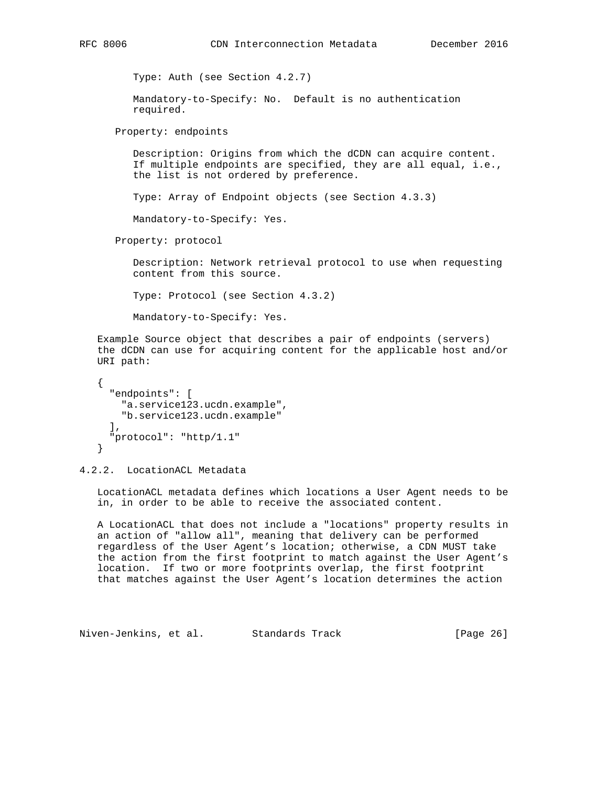```
 Type: Auth (see Section 4.2.7)
       Mandatory-to-Specify: No. Default is no authentication
       required.
    Property: endpoints
       Description: Origins from which the dCDN can acquire content.
       If multiple endpoints are specified, they are all equal, i.e.,
       the list is not ordered by preference.
       Type: Array of Endpoint objects (see Section 4.3.3)
       Mandatory-to-Specify: Yes.
    Property: protocol
       Description: Network retrieval protocol to use when requesting
       content from this source.
       Type: Protocol (see Section 4.3.2)
       Mandatory-to-Specify: Yes.
 Example Source object that describes a pair of endpoints (servers)
 the dCDN can use for acquiring content for the applicable host and/or
 URI path:
 {
   "endpoints": [
    "a.service123.ucdn.example",
     "b.service123.ucdn.example"
 \mathbf{1},
   "protocol": "http/1.1"
 }
```
4.2.2. LocationACL Metadata

 LocationACL metadata defines which locations a User Agent needs to be in, in order to be able to receive the associated content.

 A LocationACL that does not include a "locations" property results in an action of "allow all", meaning that delivery can be performed regardless of the User Agent's location; otherwise, a CDN MUST take the action from the first footprint to match against the User Agent's location. If two or more footprints overlap, the first footprint that matches against the User Agent's location determines the action

Niven-Jenkins, et al. Standards Track [Page 26]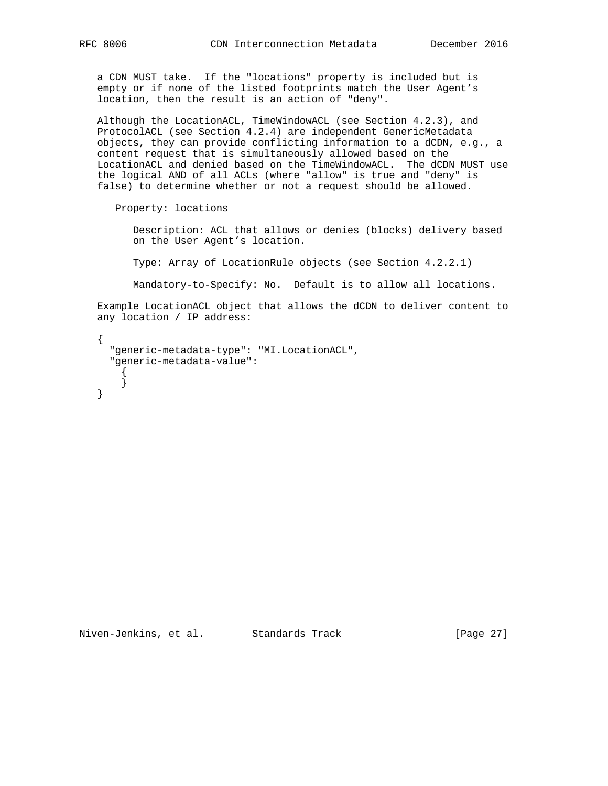a CDN MUST take. If the "locations" property is included but is empty or if none of the listed footprints match the User Agent's location, then the result is an action of "deny".

 Although the LocationACL, TimeWindowACL (see Section 4.2.3), and ProtocolACL (see Section 4.2.4) are independent GenericMetadata objects, they can provide conflicting information to a dCDN, e.g., a content request that is simultaneously allowed based on the LocationACL and denied based on the TimeWindowACL. The dCDN MUST use the logical AND of all ACLs (where "allow" is true and "deny" is false) to determine whether or not a request should be allowed.

Property: locations

 Description: ACL that allows or denies (blocks) delivery based on the User Agent's location.

Type: Array of LocationRule objects (see Section 4.2.2.1)

Mandatory-to-Specify: No. Default is to allow all locations.

 Example LocationACL object that allows the dCDN to deliver content to any location / IP address:

 { "generic-metadata-type": "MI.LocationACL", "generic-metadata-value": { } }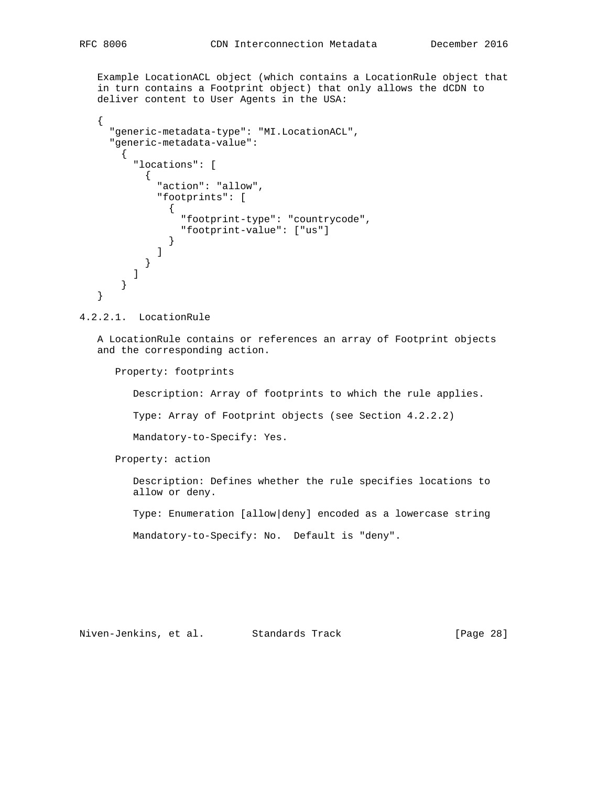Example LocationACL object (which contains a LocationRule object that in turn contains a Footprint object) that only allows the dCDN to deliver content to User Agents in the USA:

```
\{ "generic-metadata-type": "MI.LocationACL",
         "generic-metadata-value":
             {
                 "locations": [
\{ "action": "allow",
                        "footprints": [
 {
                               "footprint-type": "countrycode",
                               "footprint-value": ["us"]
 }
\sim 100 \sim 100 \sim 100 \sim 100 \sim 100 \sim 100 \sim 100 \sim 100 \sim 100 \sim 100 \sim 100 \sim 100 \sim 100 \sim 100 \sim 100 \sim 100 \sim 100 \sim 100 \sim 100 \sim 100 \sim 100 \sim 100 \sim 100 \sim 100 \sim 
                   }
                ]
            }
      }
```
4.2.2.1. LocationRule

 A LocationRule contains or references an array of Footprint objects and the corresponding action.

Property: footprints

Description: Array of footprints to which the rule applies.

Type: Array of Footprint objects (see Section 4.2.2.2)

Mandatory-to-Specify: Yes.

Property: action

 Description: Defines whether the rule specifies locations to allow or deny.

Type: Enumeration [allow|deny] encoded as a lowercase string

Mandatory-to-Specify: No. Default is "deny".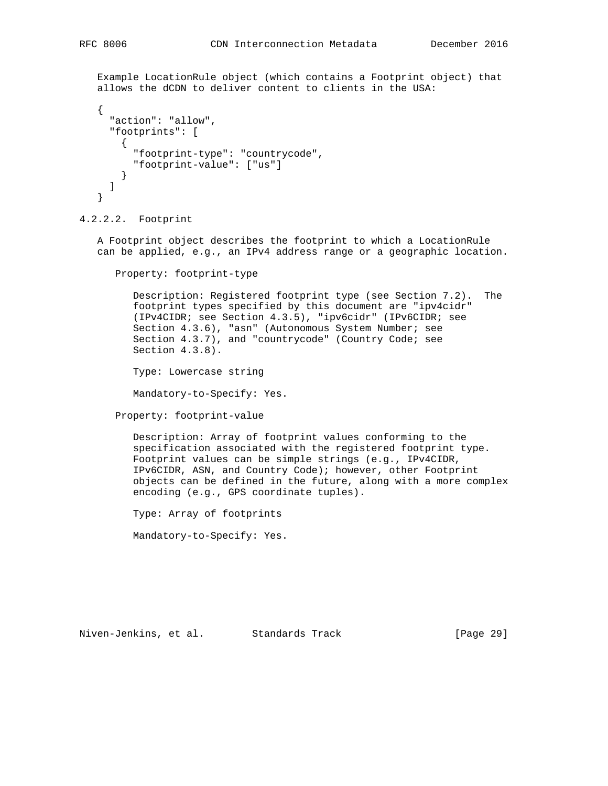Example LocationRule object (which contains a Footprint object) that allows the dCDN to deliver content to clients in the USA:

```
 {
   "action": "allow",
   "footprints": [
     {
       "footprint-type": "countrycode",
       "footprint-value": ["us"]
     }
   ]
 }
```
4.2.2.2. Footprint

 A Footprint object describes the footprint to which a LocationRule can be applied, e.g., an IPv4 address range or a geographic location.

Property: footprint-type

 Description: Registered footprint type (see Section 7.2). The footprint types specified by this document are "ipv4cidr" (IPv4CIDR; see Section 4.3.5), "ipv6cidr" (IPv6CIDR; see Section 4.3.6), "asn" (Autonomous System Number; see Section 4.3.7), and "countrycode" (Country Code; see Section 4.3.8).

Type: Lowercase string

Mandatory-to-Specify: Yes.

Property: footprint-value

 Description: Array of footprint values conforming to the specification associated with the registered footprint type. Footprint values can be simple strings (e.g., IPv4CIDR, IPv6CIDR, ASN, and Country Code); however, other Footprint objects can be defined in the future, along with a more complex encoding (e.g., GPS coordinate tuples).

Type: Array of footprints

Mandatory-to-Specify: Yes.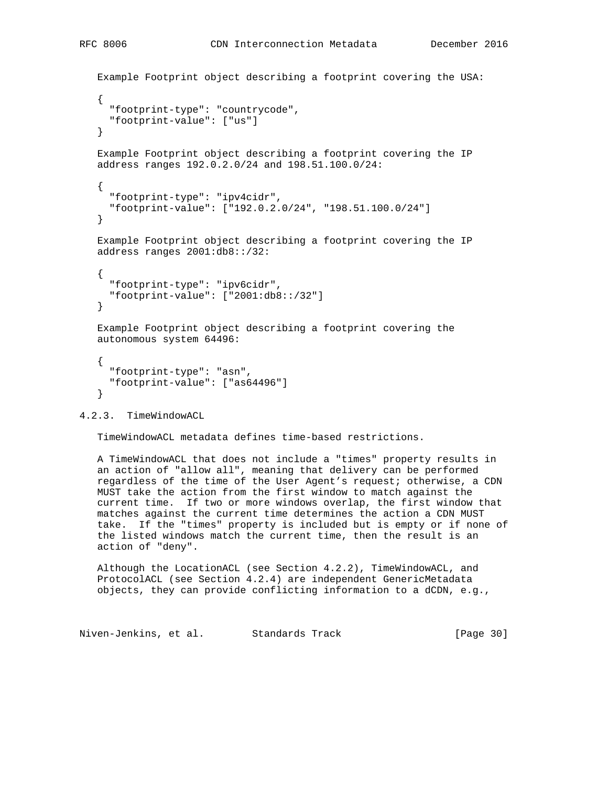```
 Example Footprint object describing a footprint covering the USA:
 {
       "footprint-type": "countrycode",
       "footprint-value": ["us"]
    }
    Example Footprint object describing a footprint covering the IP
    address ranges 192.0.2.0/24 and 198.51.100.0/24:
\{ \cdot \cdot \cdot \cdot \cdot \cdot \cdot \cdot \cdot \cdot \cdot \cdot \cdot \cdot \cdot \cdot \cdot \cdot \cdot \cdot \cdot \cdot \cdot \cdot \cdot \cdot \cdot \cdot \cdot \cdot \cdot \cdot \cdot \cdot \cdot \cdot 
       "footprint-type": "ipv4cidr",
       "footprint-value": ["192.0.2.0/24", "198.51.100.0/24"]
    }
    Example Footprint object describing a footprint covering the IP
    address ranges 2001:db8::/32:
     {
       "footprint-type": "ipv6cidr",
       "footprint-value": ["2001:db8::/32"]
    }
    Example Footprint object describing a footprint covering the
    autonomous system 64496:
   \left\{ \right. "footprint-type": "asn",
       "footprint-value": ["as64496"]
     }
```
# 4.2.3. TimeWindowACL

TimeWindowACL metadata defines time-based restrictions.

 A TimeWindowACL that does not include a "times" property results in an action of "allow all", meaning that delivery can be performed regardless of the time of the User Agent's request; otherwise, a CDN MUST take the action from the first window to match against the current time. If two or more windows overlap, the first window that matches against the current time determines the action a CDN MUST take. If the "times" property is included but is empty or if none of the listed windows match the current time, then the result is an action of "deny".

 Although the LocationACL (see Section 4.2.2), TimeWindowACL, and ProtocolACL (see Section 4.2.4) are independent GenericMetadata objects, they can provide conflicting information to a dCDN, e.g.,

Niven-Jenkins, et al. Standards Track [Page 30]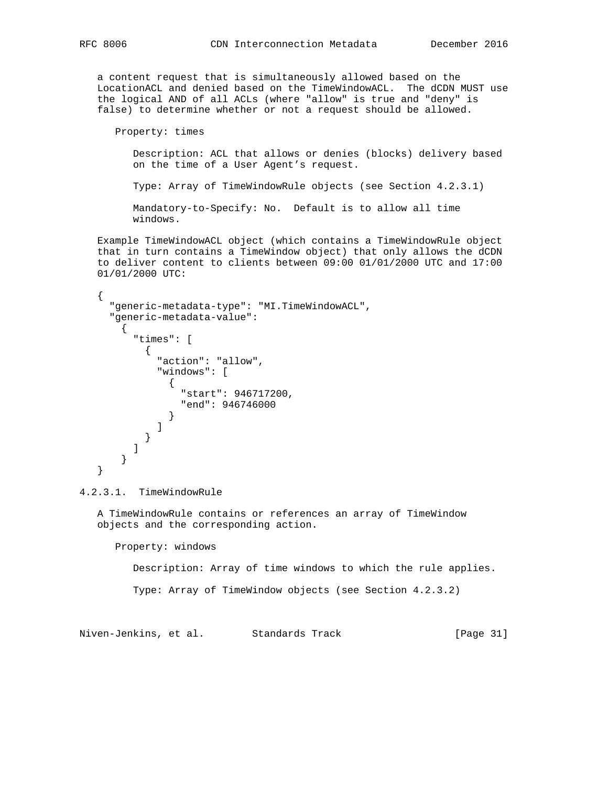a content request that is simultaneously allowed based on the LocationACL and denied based on the TimeWindowACL. The dCDN MUST use the logical AND of all ACLs (where "allow" is true and "deny" is false) to determine whether or not a request should be allowed.

Property: times

 Description: ACL that allows or denies (blocks) delivery based on the time of a User Agent's request.

Type: Array of TimeWindowRule objects (see Section 4.2.3.1)

 Mandatory-to-Specify: No. Default is to allow all time windows.

 Example TimeWindowACL object (which contains a TimeWindowRule object that in turn contains a TimeWindow object) that only allows the dCDN to deliver content to clients between 09:00 01/01/2000 UTC and 17:00 01/01/2000 UTC:

```
 {
     "generic-metadata-type": "MI.TimeWindowACL",
     "generic-metadata-value":
       {
         "times": [
\{ "action": "allow",
             "windows": [
 {
                 "start": 946717200,
                 "end": 946746000
 }
 ]
        \begin{matrix} \\ 1 \end{matrix} ]
       }
   }
```
4.2.3.1. TimeWindowRule

 A TimeWindowRule contains or references an array of TimeWindow objects and the corresponding action.

Property: windows

Description: Array of time windows to which the rule applies.

Type: Array of TimeWindow objects (see Section 4.2.3.2)

Niven-Jenkins, et al. Standards Track [Page 31]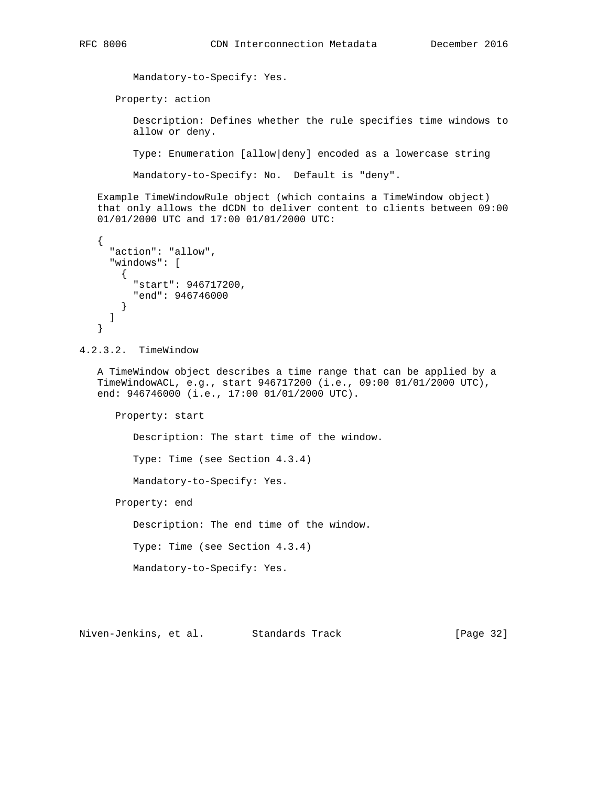Mandatory-to-Specify: Yes. Property: action Description: Defines whether the rule specifies time windows to allow or deny. Type: Enumeration [allow|deny] encoded as a lowercase string Mandatory-to-Specify: No. Default is "deny".

 Example TimeWindowRule object (which contains a TimeWindow object) that only allows the dCDN to deliver content to clients between 09:00 01/01/2000 UTC and 17:00 01/01/2000 UTC:

```
 {
   "action": "allow",
   "windows": [
    {
       "start": 946717200,
       "end": 946746000
     }
   ]
 }
```
4.2.3.2. TimeWindow

 A TimeWindow object describes a time range that can be applied by a TimeWindowACL, e.g., start 946717200 (i.e., 09:00 01/01/2000 UTC), end: 946746000 (i.e., 17:00 01/01/2000 UTC).

Property: start

Description: The start time of the window.

Type: Time (see Section 4.3.4)

Mandatory-to-Specify: Yes.

Property: end

Description: The end time of the window.

Type: Time (see Section 4.3.4)

Mandatory-to-Specify: Yes.

Niven-Jenkins, et al. Standards Track [Page 32]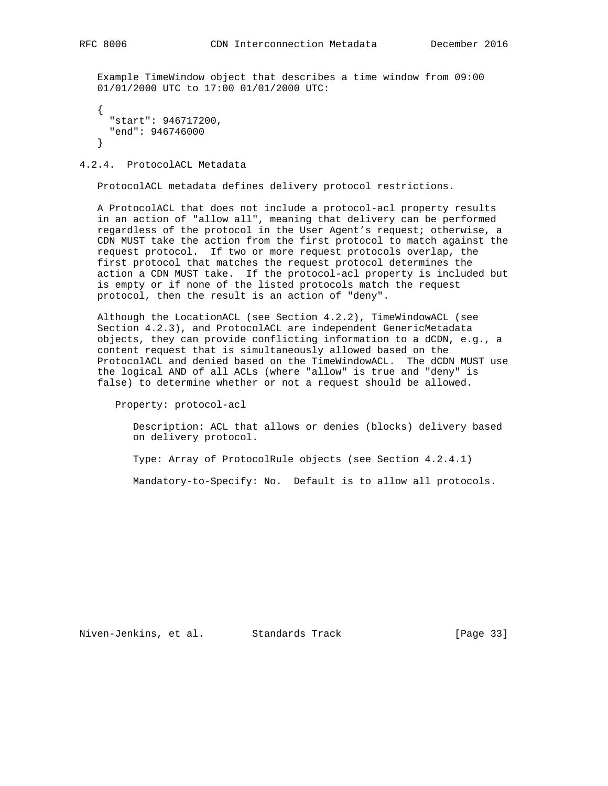Example TimeWindow object that describes a time window from 09:00 01/01/2000 UTC to 17:00 01/01/2000 UTC:

```
 {
   "start": 946717200,
   "end": 946746000
 }
```
# 4.2.4. ProtocolACL Metadata

ProtocolACL metadata defines delivery protocol restrictions.

 A ProtocolACL that does not include a protocol-acl property results in an action of "allow all", meaning that delivery can be performed regardless of the protocol in the User Agent's request; otherwise, a CDN MUST take the action from the first protocol to match against the request protocol. If two or more request protocols overlap, the first protocol that matches the request protocol determines the action a CDN MUST take. If the protocol-acl property is included but is empty or if none of the listed protocols match the request protocol, then the result is an action of "deny".

 Although the LocationACL (see Section 4.2.2), TimeWindowACL (see Section 4.2.3), and ProtocolACL are independent GenericMetadata objects, they can provide conflicting information to a dCDN, e.g., a content request that is simultaneously allowed based on the ProtocolACL and denied based on the TimeWindowACL. The dCDN MUST use the logical AND of all ACLs (where "allow" is true and "deny" is false) to determine whether or not a request should be allowed.

Property: protocol-acl

 Description: ACL that allows or denies (blocks) delivery based on delivery protocol.

Type: Array of ProtocolRule objects (see Section 4.2.4.1)

Mandatory-to-Specify: No. Default is to allow all protocols.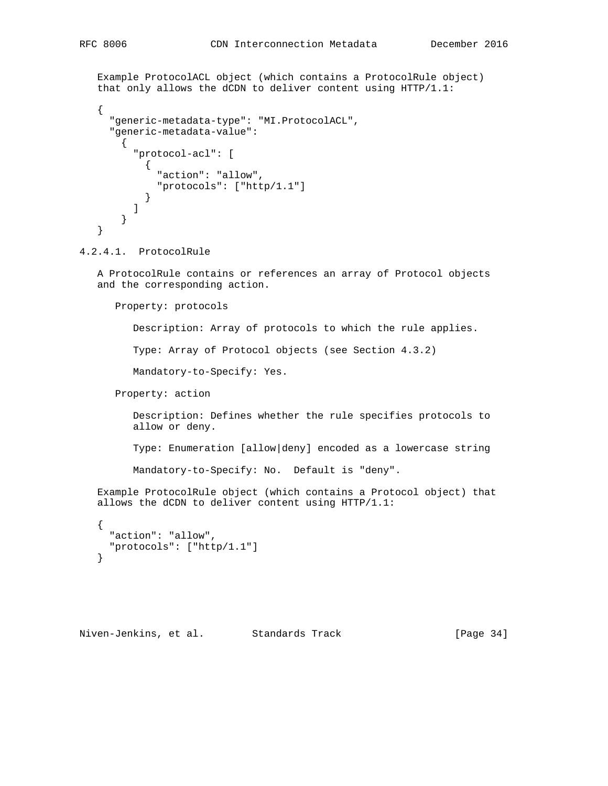```
 Example ProtocolACL object (which contains a ProtocolRule object)
   that only allows the dCDN to deliver content using HTTP/1.1:
   {
     "generic-metadata-type": "MI.ProtocolACL",
     "generic-metadata-value":
       {
         "protocol-acl": [
\{ "action": "allow",
          "protocols": ["http/1.1"]<br>}
 }
 ]
       }
   }
```
#### 4.2.4.1. ProtocolRule

 A ProtocolRule contains or references an array of Protocol objects and the corresponding action.

Property: protocols

Description: Array of protocols to which the rule applies.

Type: Array of Protocol objects (see Section 4.3.2)

Mandatory-to-Specify: Yes.

Property: action

 Description: Defines whether the rule specifies protocols to allow or deny.

Type: Enumeration [allow|deny] encoded as a lowercase string

Mandatory-to-Specify: No. Default is "deny".

 Example ProtocolRule object (which contains a Protocol object) that allows the dCDN to deliver content using HTTP/1.1:

```
 {
   "action": "allow",
   "protocols": ["http/1.1"]
 }
```
Niven-Jenkins, et al. Standards Track [Page 34]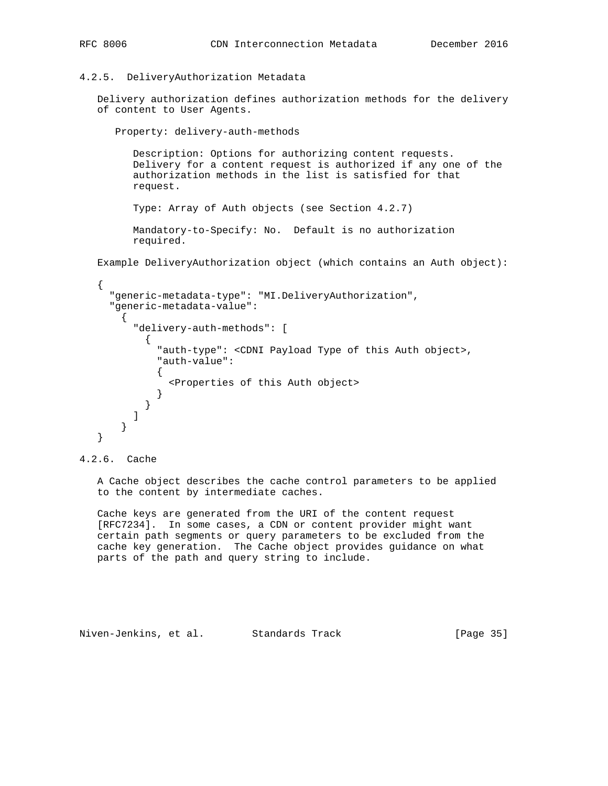#### 4.2.5. DeliveryAuthorization Metadata

 Delivery authorization defines authorization methods for the delivery of content to User Agents.

Property: delivery-auth-methods

 Description: Options for authorizing content requests. Delivery for a content request is authorized if any one of the authorization methods in the list is satisfied for that request.

Type: Array of Auth objects (see Section 4.2.7)

 Mandatory-to-Specify: No. Default is no authorization required.

Example DeliveryAuthorization object (which contains an Auth object):

```
\{ \cdot \cdot \cdot \cdot \cdot \cdot \cdot \cdot \cdot \cdot \cdot \cdot \cdot \cdot \cdot \cdot \cdot \cdot \cdot \cdot \cdot \cdot \cdot \cdot \cdot \cdot \cdot \cdot \cdot \cdot \cdot \cdot \cdot \cdot \cdot \cdot 
         "generic-metadata-type": "MI.DeliveryAuthorization",
         "generic-metadata-value":
           \left\{ \right. "delivery-auth-methods": [
\{ "auth-type": <CDNI Payload Type of this Auth object>,
                       "auth-value":
\{ <Properties of this Auth object>
 }
 }
 ]
            }
     }
```
4.2.6. Cache

 A Cache object describes the cache control parameters to be applied to the content by intermediate caches.

 Cache keys are generated from the URI of the content request [RFC7234]. In some cases, a CDN or content provider might want certain path segments or query parameters to be excluded from the cache key generation. The Cache object provides guidance on what parts of the path and query string to include.

Niven-Jenkins, et al. Standards Track [Page 35]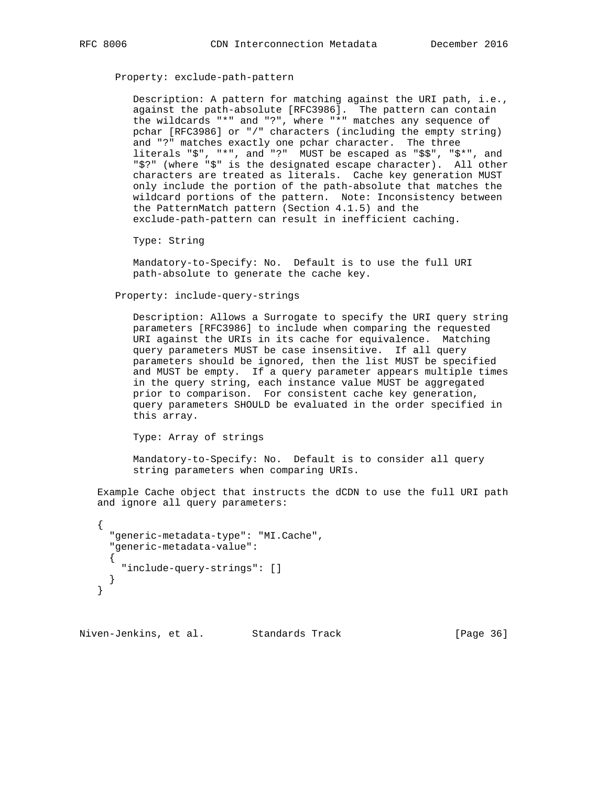Property: exclude-path-pattern

 Description: A pattern for matching against the URI path, i.e., against the path-absolute [RFC3986]. The pattern can contain the wildcards "\*" and "?", where "\*" matches any sequence of pchar [RFC3986] or "/" characters (including the empty string) and "?" matches exactly one pchar character. The three literals "\$", "\*", and "?" MUST be escaped as "\$\$", "\$\*", and "\$?" (where "\$" is the designated escape character). All other characters are treated as literals. Cache key generation MUST only include the portion of the path-absolute that matches the wildcard portions of the pattern. Note: Inconsistency between the PatternMatch pattern (Section 4.1.5) and the exclude-path-pattern can result in inefficient caching.

Type: String

 Mandatory-to-Specify: No. Default is to use the full URI path-absolute to generate the cache key.

Property: include-query-strings

 Description: Allows a Surrogate to specify the URI query string parameters [RFC3986] to include when comparing the requested URI against the URIs in its cache for equivalence. Matching query parameters MUST be case insensitive. If all query parameters should be ignored, then the list MUST be specified and MUST be empty. If a query parameter appears multiple times in the query string, each instance value MUST be aggregated prior to comparison. For consistent cache key generation, query parameters SHOULD be evaluated in the order specified in this array.

Type: Array of strings

 Mandatory-to-Specify: No. Default is to consider all query string parameters when comparing URIs.

 Example Cache object that instructs the dCDN to use the full URI path and ignore all query parameters:

```
 {
   "generic-metadata-type": "MI.Cache",
   "generic-metadata-value":
   {
     "include-query-strings": []
   }
 }
```
Niven-Jenkins, et al. Standards Track [Page 36]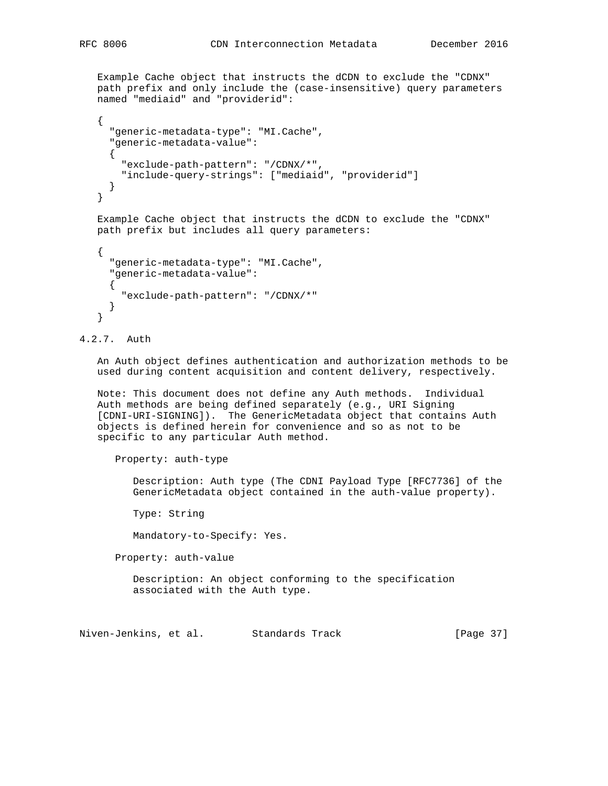Example Cache object that instructs the dCDN to exclude the "CDNX" path prefix and only include the (case-insensitive) query parameters named "mediaid" and "providerid":

```
\{ \cdot \cdot \cdot \cdot \cdot \cdot \cdot \cdot \cdot \cdot \cdot \cdot \cdot \cdot \cdot \cdot \cdot \cdot \cdot \cdot \cdot \cdot \cdot \cdot \cdot \cdot \cdot \cdot \cdot \cdot \cdot \cdot \cdot \cdot \cdot \cdot 
             "generic-metadata-type": "MI.Cache",
             "generic-metadata-value":
             {
                 "exclude-path-pattern": "/CDNX/*",
                "include-query-strings": ["mediaid", "providerid"]
            }
       }
```
 Example Cache object that instructs the dCDN to exclude the "CDNX" path prefix but includes all query parameters:

```
\{ \cdot \cdot \cdot \cdot \cdot \cdot \cdot \cdot \cdot \cdot \cdot \cdot \cdot \cdot \cdot \cdot \cdot \cdot \cdot \cdot \cdot \cdot \cdot \cdot \cdot \cdot \cdot \cdot \cdot \cdot \cdot \cdot \cdot \cdot \cdot \cdot 
                "generic-metadata-type": "MI.Cache",
                "generic-metadata-value":
                {
                     "exclude-path-pattern": "/CDNX/*"
                }
         }
```
4.2.7. Auth

 An Auth object defines authentication and authorization methods to be used during content acquisition and content delivery, respectively.

 Note: This document does not define any Auth methods. Individual Auth methods are being defined separately (e.g., URI Signing [CDNI-URI-SIGNING]). The GenericMetadata object that contains Auth objects is defined herein for convenience and so as not to be specific to any particular Auth method.

Property: auth-type

 Description: Auth type (The CDNI Payload Type [RFC7736] of the GenericMetadata object contained in the auth-value property).

Type: String

Mandatory-to-Specify: Yes.

Property: auth-value

 Description: An object conforming to the specification associated with the Auth type.

Niven-Jenkins, et al. Standards Track [Page 37]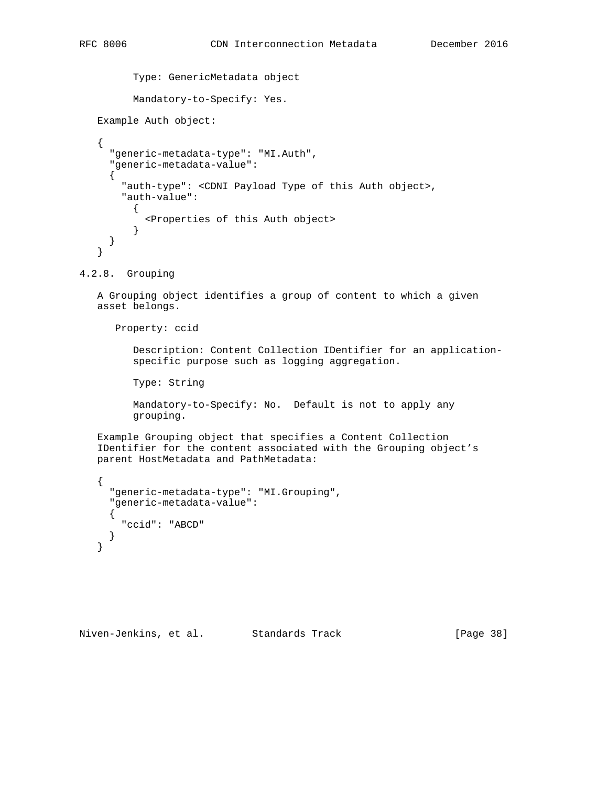```
 Type: GenericMetadata object
 Mandatory-to-Specify: Yes.
```

```
 Example Auth object:
```

```
 {
      "generic-metadata-type": "MI.Auth",
      "generic-metadata-value":
      {
        "auth-type": <CDNI Payload Type of this Auth object>,
        "auth-value":
\{ <Properties of this Auth object>
          }
      }
   }
```
4.2.8. Grouping

 A Grouping object identifies a group of content to which a given asset belongs.

Property: ccid

 Description: Content Collection IDentifier for an application specific purpose such as logging aggregation.

Type: String

 Mandatory-to-Specify: No. Default is not to apply any grouping.

 Example Grouping object that specifies a Content Collection IDentifier for the content associated with the Grouping object's parent HostMetadata and PathMetadata:

```
\{ "generic-metadata-type": "MI.Grouping",
   "generic-metadata-value":
  \mathcal{L} "ccid": "ABCD"
   }
 }
```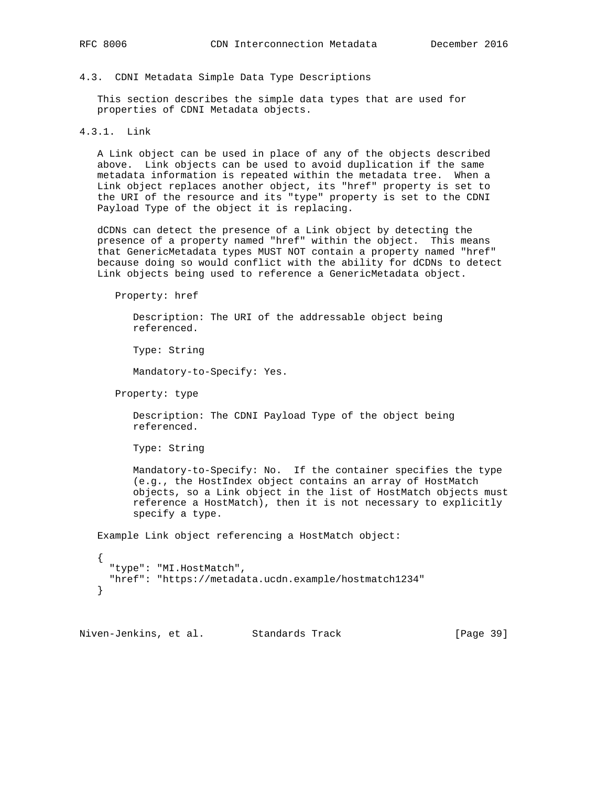#### 4.3. CDNI Metadata Simple Data Type Descriptions

 This section describes the simple data types that are used for properties of CDNI Metadata objects.

# 4.3.1. Link

 A Link object can be used in place of any of the objects described above. Link objects can be used to avoid duplication if the same metadata information is repeated within the metadata tree. When a Link object replaces another object, its "href" property is set to the URI of the resource and its "type" property is set to the CDNI Payload Type of the object it is replacing.

 dCDNs can detect the presence of a Link object by detecting the presence of a property named "href" within the object. This means that GenericMetadata types MUST NOT contain a property named "href" because doing so would conflict with the ability for dCDNs to detect Link objects being used to reference a GenericMetadata object.

Property: href

 Description: The URI of the addressable object being referenced.

Type: String

Mandatory-to-Specify: Yes.

Property: type

 Description: The CDNI Payload Type of the object being referenced.

Type: String

 Mandatory-to-Specify: No. If the container specifies the type (e.g., the HostIndex object contains an array of HostMatch objects, so a Link object in the list of HostMatch objects must reference a HostMatch), then it is not necessary to explicitly specify a type.

Example Link object referencing a HostMatch object:

```
 {
   "type": "MI.HostMatch",
   "href": "https://metadata.ucdn.example/hostmatch1234"
 }
```
Niven-Jenkins, et al. Standards Track [Page 39]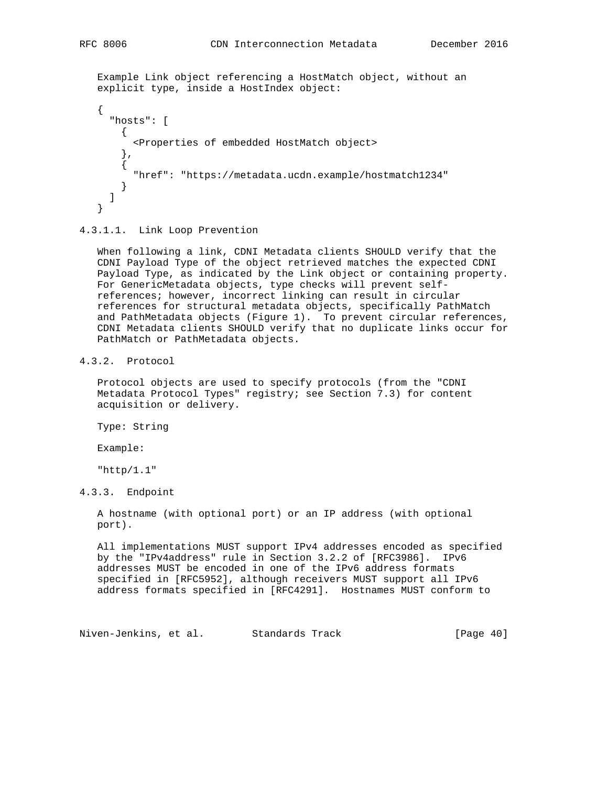Example Link object referencing a HostMatch object, without an explicit type, inside a HostIndex object:

```
 {
   "hosts": [
    \{ <Properties of embedded HostMatch object>
     },
     {
       "href": "https://metadata.ucdn.example/hostmatch1234"
     }
   ]
 }
```
4.3.1.1. Link Loop Prevention

 When following a link, CDNI Metadata clients SHOULD verify that the CDNI Payload Type of the object retrieved matches the expected CDNI Payload Type, as indicated by the Link object or containing property. For GenericMetadata objects, type checks will prevent self references; however, incorrect linking can result in circular references for structural metadata objects, specifically PathMatch and PathMetadata objects (Figure 1). To prevent circular references, CDNI Metadata clients SHOULD verify that no duplicate links occur for PathMatch or PathMetadata objects.

4.3.2. Protocol

 Protocol objects are used to specify protocols (from the "CDNI Metadata Protocol Types" registry; see Section 7.3) for content acquisition or delivery.

Type: String

Example:

"http/1.1"

```
4.3.3. Endpoint
```
 A hostname (with optional port) or an IP address (with optional port).

 All implementations MUST support IPv4 addresses encoded as specified by the "IPv4address" rule in Section 3.2.2 of [RFC3986]. IPv6 addresses MUST be encoded in one of the IPv6 address formats specified in [RFC5952], although receivers MUST support all IPv6 address formats specified in [RFC4291]. Hostnames MUST conform to

Niven-Jenkins, et al. Standards Track [Page 40]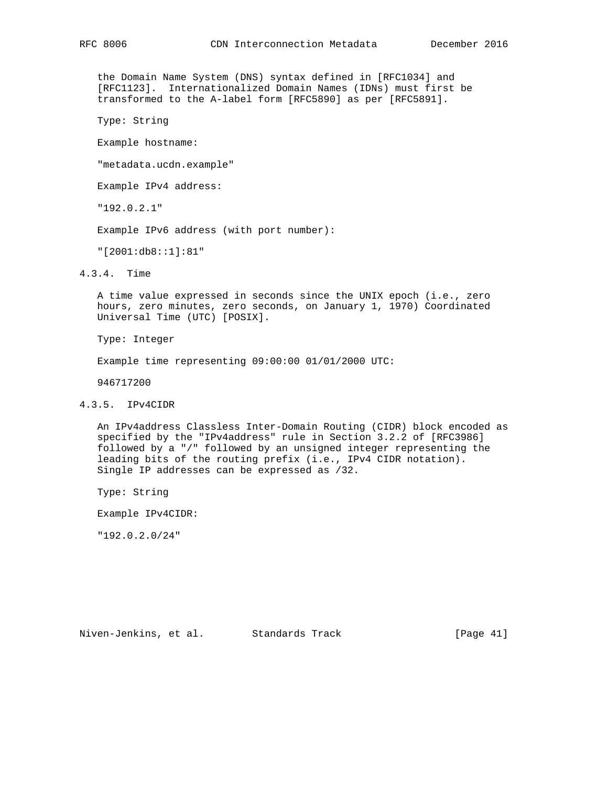the Domain Name System (DNS) syntax defined in [RFC1034] and [RFC1123]. Internationalized Domain Names (IDNs) must first be transformed to the A-label form [RFC5890] as per [RFC5891].

Type: String

Example hostname:

"metadata.ucdn.example"

Example IPv4 address:

"192.0.2.1"

Example IPv6 address (with port number):

"[2001:db8::1]:81"

4.3.4. Time

 A time value expressed in seconds since the UNIX epoch (i.e., zero hours, zero minutes, zero seconds, on January 1, 1970) Coordinated Universal Time (UTC) [POSIX].

Type: Integer

Example time representing 09:00:00 01/01/2000 UTC:

946717200

# 4.3.5. IPv4CIDR

 An IPv4address Classless Inter-Domain Routing (CIDR) block encoded as specified by the "IPv4address" rule in Section 3.2.2 of [RFC3986] followed by a "/" followed by an unsigned integer representing the leading bits of the routing prefix (i.e., IPv4 CIDR notation). Single IP addresses can be expressed as /32.

Type: String

Example IPv4CIDR:

"192.0.2.0/24"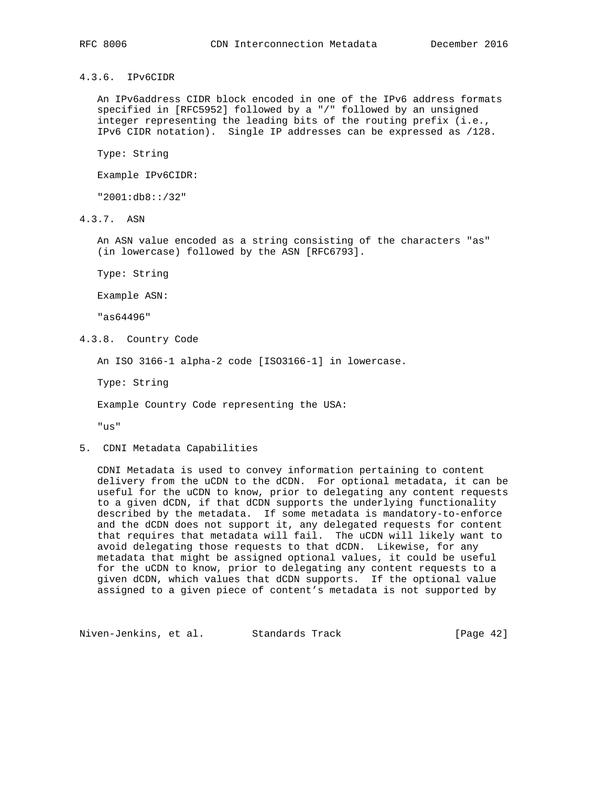4.3.6. IPv6CIDR

 An IPv6address CIDR block encoded in one of the IPv6 address formats specified in [RFC5952] followed by a "/" followed by an unsigned integer representing the leading bits of the routing prefix (i.e., IPv6 CIDR notation). Single IP addresses can be expressed as /128.

Type: String

Example IPv6CIDR:

"2001:db8::/32"

4.3.7. ASN

 An ASN value encoded as a string consisting of the characters "as" (in lowercase) followed by the ASN [RFC6793].

Type: String

Example ASN:

"as64496"

4.3.8. Country Code

An ISO 3166-1 alpha-2 code [ISO3166-1] in lowercase.

Type: String

Example Country Code representing the USA:

"us"

5. CDNI Metadata Capabilities

 CDNI Metadata is used to convey information pertaining to content delivery from the uCDN to the dCDN. For optional metadata, it can be useful for the uCDN to know, prior to delegating any content requests to a given dCDN, if that dCDN supports the underlying functionality described by the metadata. If some metadata is mandatory-to-enforce and the dCDN does not support it, any delegated requests for content that requires that metadata will fail. The uCDN will likely want to avoid delegating those requests to that dCDN. Likewise, for any metadata that might be assigned optional values, it could be useful for the uCDN to know, prior to delegating any content requests to a given dCDN, which values that dCDN supports. If the optional value assigned to a given piece of content's metadata is not supported by

Niven-Jenkins, et al. Standards Track [Page 42]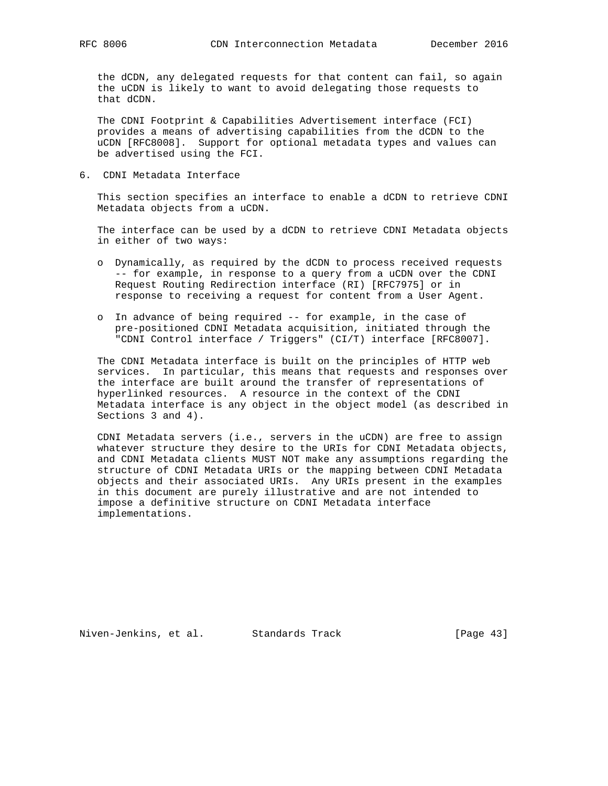the dCDN, any delegated requests for that content can fail, so again the uCDN is likely to want to avoid delegating those requests to that dCDN.

 The CDNI Footprint & Capabilities Advertisement interface (FCI) provides a means of advertising capabilities from the dCDN to the uCDN [RFC8008]. Support for optional metadata types and values can be advertised using the FCI.

6. CDNI Metadata Interface

 This section specifies an interface to enable a dCDN to retrieve CDNI Metadata objects from a uCDN.

 The interface can be used by a dCDN to retrieve CDNI Metadata objects in either of two ways:

- o Dynamically, as required by the dCDN to process received requests -- for example, in response to a query from a uCDN over the CDNI Request Routing Redirection interface (RI) [RFC7975] or in response to receiving a request for content from a User Agent.
- o In advance of being required -- for example, in the case of pre-positioned CDNI Metadata acquisition, initiated through the "CDNI Control interface / Triggers" (CI/T) interface [RFC8007].

 The CDNI Metadata interface is built on the principles of HTTP web services. In particular, this means that requests and responses over the interface are built around the transfer of representations of hyperlinked resources. A resource in the context of the CDNI Metadata interface is any object in the object model (as described in Sections 3 and 4).

 CDNI Metadata servers (i.e., servers in the uCDN) are free to assign whatever structure they desire to the URIs for CDNI Metadata objects, and CDNI Metadata clients MUST NOT make any assumptions regarding the structure of CDNI Metadata URIs or the mapping between CDNI Metadata objects and their associated URIs. Any URIs present in the examples in this document are purely illustrative and are not intended to impose a definitive structure on CDNI Metadata interface implementations.

Niven-Jenkins, et al. Standards Track [Page 43]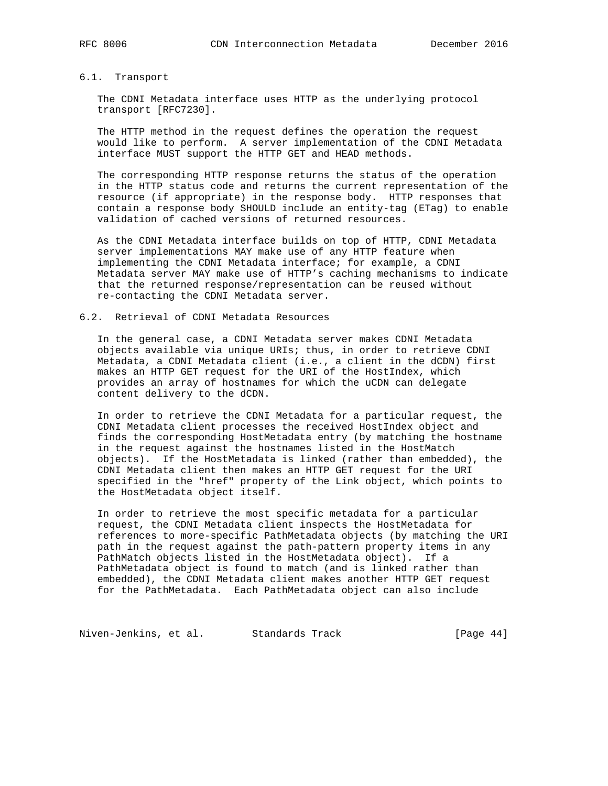# 6.1. Transport

 The CDNI Metadata interface uses HTTP as the underlying protocol transport [RFC7230].

 The HTTP method in the request defines the operation the request would like to perform. A server implementation of the CDNI Metadata interface MUST support the HTTP GET and HEAD methods.

 The corresponding HTTP response returns the status of the operation in the HTTP status code and returns the current representation of the resource (if appropriate) in the response body. HTTP responses that contain a response body SHOULD include an entity-tag (ETag) to enable validation of cached versions of returned resources.

 As the CDNI Metadata interface builds on top of HTTP, CDNI Metadata server implementations MAY make use of any HTTP feature when implementing the CDNI Metadata interface; for example, a CDNI Metadata server MAY make use of HTTP's caching mechanisms to indicate that the returned response/representation can be reused without re-contacting the CDNI Metadata server.

#### 6.2. Retrieval of CDNI Metadata Resources

 In the general case, a CDNI Metadata server makes CDNI Metadata objects available via unique URIs; thus, in order to retrieve CDNI Metadata, a CDNI Metadata client (i.e., a client in the dCDN) first makes an HTTP GET request for the URI of the HostIndex, which provides an array of hostnames for which the uCDN can delegate content delivery to the dCDN.

 In order to retrieve the CDNI Metadata for a particular request, the CDNI Metadata client processes the received HostIndex object and finds the corresponding HostMetadata entry (by matching the hostname in the request against the hostnames listed in the HostMatch objects). If the HostMetadata is linked (rather than embedded), the CDNI Metadata client then makes an HTTP GET request for the URI specified in the "href" property of the Link object, which points to the HostMetadata object itself.

 In order to retrieve the most specific metadata for a particular request, the CDNI Metadata client inspects the HostMetadata for references to more-specific PathMetadata objects (by matching the URI path in the request against the path-pattern property items in any PathMatch objects listed in the HostMetadata object). If a PathMetadata object is found to match (and is linked rather than embedded), the CDNI Metadata client makes another HTTP GET request for the PathMetadata. Each PathMetadata object can also include

Niven-Jenkins, et al. Standards Track [Page 44]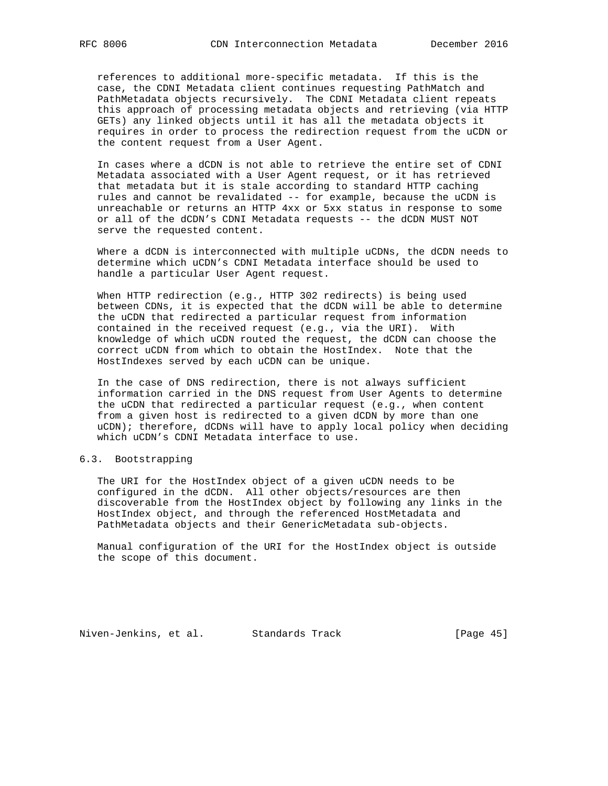references to additional more-specific metadata. If this is the case, the CDNI Metadata client continues requesting PathMatch and PathMetadata objects recursively. The CDNI Metadata client repeats this approach of processing metadata objects and retrieving (via HTTP GETs) any linked objects until it has all the metadata objects it requires in order to process the redirection request from the uCDN or the content request from a User Agent.

 In cases where a dCDN is not able to retrieve the entire set of CDNI Metadata associated with a User Agent request, or it has retrieved that metadata but it is stale according to standard HTTP caching rules and cannot be revalidated -- for example, because the uCDN is unreachable or returns an HTTP 4xx or 5xx status in response to some or all of the dCDN's CDNI Metadata requests -- the dCDN MUST NOT serve the requested content.

 Where a dCDN is interconnected with multiple uCDNs, the dCDN needs to determine which uCDN's CDNI Metadata interface should be used to handle a particular User Agent request.

 When HTTP redirection (e.g., HTTP 302 redirects) is being used between CDNs, it is expected that the dCDN will be able to determine the uCDN that redirected a particular request from information contained in the received request (e.g., via the URI). With knowledge of which uCDN routed the request, the dCDN can choose the correct uCDN from which to obtain the HostIndex. Note that the HostIndexes served by each uCDN can be unique.

 In the case of DNS redirection, there is not always sufficient information carried in the DNS request from User Agents to determine the uCDN that redirected a particular request (e.g., when content from a given host is redirected to a given dCDN by more than one uCDN); therefore, dCDNs will have to apply local policy when deciding which uCDN's CDNI Metadata interface to use.

#### 6.3. Bootstrapping

 The URI for the HostIndex object of a given uCDN needs to be configured in the dCDN. All other objects/resources are then discoverable from the HostIndex object by following any links in the HostIndex object, and through the referenced HostMetadata and PathMetadata objects and their GenericMetadata sub-objects.

 Manual configuration of the URI for the HostIndex object is outside the scope of this document.

Niven-Jenkins, et al. Standards Track [Page 45]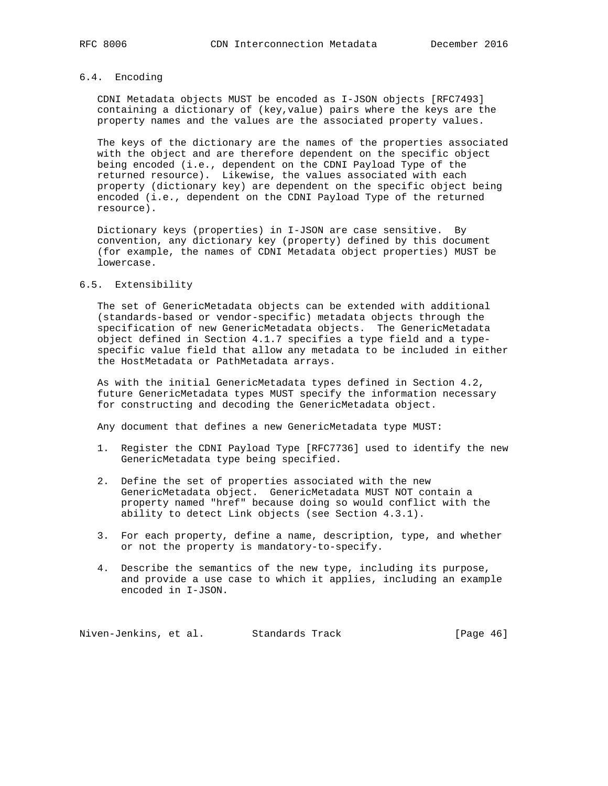# 6.4. Encoding

 CDNI Metadata objects MUST be encoded as I-JSON objects [RFC7493] containing a dictionary of (key,value) pairs where the keys are the property names and the values are the associated property values.

 The keys of the dictionary are the names of the properties associated with the object and are therefore dependent on the specific object being encoded (i.e., dependent on the CDNI Payload Type of the returned resource). Likewise, the values associated with each property (dictionary key) are dependent on the specific object being encoded (i.e., dependent on the CDNI Payload Type of the returned resource).

 Dictionary keys (properties) in I-JSON are case sensitive. By convention, any dictionary key (property) defined by this document (for example, the names of CDNI Metadata object properties) MUST be lowercase.

#### 6.5. Extensibility

 The set of GenericMetadata objects can be extended with additional (standards-based or vendor-specific) metadata objects through the specification of new GenericMetadata objects. The GenericMetadata object defined in Section 4.1.7 specifies a type field and a type specific value field that allow any metadata to be included in either the HostMetadata or PathMetadata arrays.

 As with the initial GenericMetadata types defined in Section 4.2, future GenericMetadata types MUST specify the information necessary for constructing and decoding the GenericMetadata object.

Any document that defines a new GenericMetadata type MUST:

- 1. Register the CDNI Payload Type [RFC7736] used to identify the new GenericMetadata type being specified.
- 2. Define the set of properties associated with the new GenericMetadata object. GenericMetadata MUST NOT contain a property named "href" because doing so would conflict with the ability to detect Link objects (see Section 4.3.1).
- 3. For each property, define a name, description, type, and whether or not the property is mandatory-to-specify.
- 4. Describe the semantics of the new type, including its purpose, and provide a use case to which it applies, including an example encoded in I-JSON.

Niven-Jenkins, et al. Standards Track [Page 46]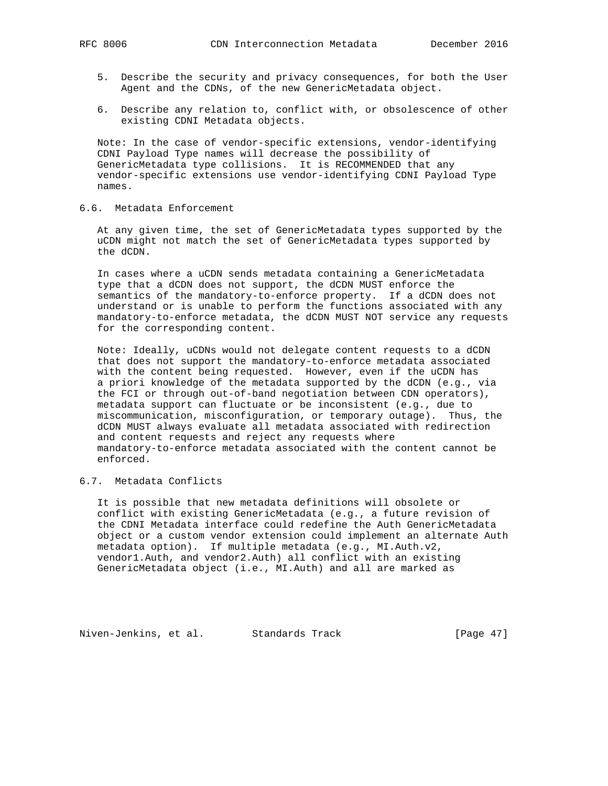- 5. Describe the security and privacy consequences, for both the User Agent and the CDNs, of the new GenericMetadata object.
- 6. Describe any relation to, conflict with, or obsolescence of other existing CDNI Metadata objects.

 Note: In the case of vendor-specific extensions, vendor-identifying CDNI Payload Type names will decrease the possibility of GenericMetadata type collisions. It is RECOMMENDED that any vendor-specific extensions use vendor-identifying CDNI Payload Type names.

# 6.6. Metadata Enforcement

 At any given time, the set of GenericMetadata types supported by the uCDN might not match the set of GenericMetadata types supported by the dCDN.

 In cases where a uCDN sends metadata containing a GenericMetadata type that a dCDN does not support, the dCDN MUST enforce the semantics of the mandatory-to-enforce property. If a dCDN does not understand or is unable to perform the functions associated with any mandatory-to-enforce metadata, the dCDN MUST NOT service any requests for the corresponding content.

 Note: Ideally, uCDNs would not delegate content requests to a dCDN that does not support the mandatory-to-enforce metadata associated with the content being requested. However, even if the uCDN has a priori knowledge of the metadata supported by the dCDN (e.g., via the FCI or through out-of-band negotiation between CDN operators), metadata support can fluctuate or be inconsistent (e.g., due to miscommunication, misconfiguration, or temporary outage). Thus, the dCDN MUST always evaluate all metadata associated with redirection and content requests and reject any requests where mandatory-to-enforce metadata associated with the content cannot be enforced.

# 6.7. Metadata Conflicts

 It is possible that new metadata definitions will obsolete or conflict with existing GenericMetadata (e.g., a future revision of the CDNI Metadata interface could redefine the Auth GenericMetadata object or a custom vendor extension could implement an alternate Auth metadata option). If multiple metadata (e.g., MI.Auth.v2, vendor1.Auth, and vendor2.Auth) all conflict with an existing GenericMetadata object (i.e., MI.Auth) and all are marked as

Niven-Jenkins, et al. Standards Track [Page 47]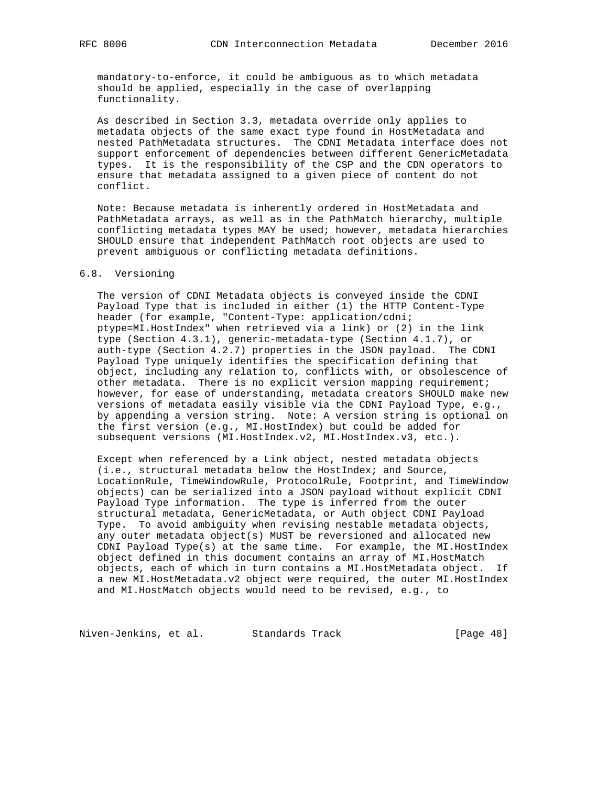mandatory-to-enforce, it could be ambiguous as to which metadata should be applied, especially in the case of overlapping functionality.

 As described in Section 3.3, metadata override only applies to metadata objects of the same exact type found in HostMetadata and nested PathMetadata structures. The CDNI Metadata interface does not support enforcement of dependencies between different GenericMetadata types. It is the responsibility of the CSP and the CDN operators to ensure that metadata assigned to a given piece of content do not conflict.

 Note: Because metadata is inherently ordered in HostMetadata and PathMetadata arrays, as well as in the PathMatch hierarchy, multiple conflicting metadata types MAY be used; however, metadata hierarchies SHOULD ensure that independent PathMatch root objects are used to prevent ambiguous or conflicting metadata definitions.

#### 6.8. Versioning

 The version of CDNI Metadata objects is conveyed inside the CDNI Payload Type that is included in either (1) the HTTP Content-Type header (for example, "Content-Type: application/cdni; ptype=MI.HostIndex" when retrieved via a link) or (2) in the link type (Section 4.3.1), generic-metadata-type (Section 4.1.7), or auth-type (Section 4.2.7) properties in the JSON payload. The CDNI Payload Type uniquely identifies the specification defining that object, including any relation to, conflicts with, or obsolescence of other metadata. There is no explicit version mapping requirement; however, for ease of understanding, metadata creators SHOULD make new versions of metadata easily visible via the CDNI Payload Type, e.g., by appending a version string. Note: A version string is optional on the first version (e.g., MI.HostIndex) but could be added for subsequent versions (MI.HostIndex.v2, MI.HostIndex.v3, etc.).

 Except when referenced by a Link object, nested metadata objects (i.e., structural metadata below the HostIndex; and Source, LocationRule, TimeWindowRule, ProtocolRule, Footprint, and TimeWindow objects) can be serialized into a JSON payload without explicit CDNI Payload Type information. The type is inferred from the outer structural metadata, GenericMetadata, or Auth object CDNI Payload Type. To avoid ambiguity when revising nestable metadata objects, any outer metadata object(s) MUST be reversioned and allocated new CDNI Payload Type(s) at the same time. For example, the MI.HostIndex object defined in this document contains an array of MI.HostMatch objects, each of which in turn contains a MI.HostMetadata object. If a new MI.HostMetadata.v2 object were required, the outer MI.HostIndex and MI.HostMatch objects would need to be revised, e.g., to

Niven-Jenkins, et al. Standards Track [Page 48]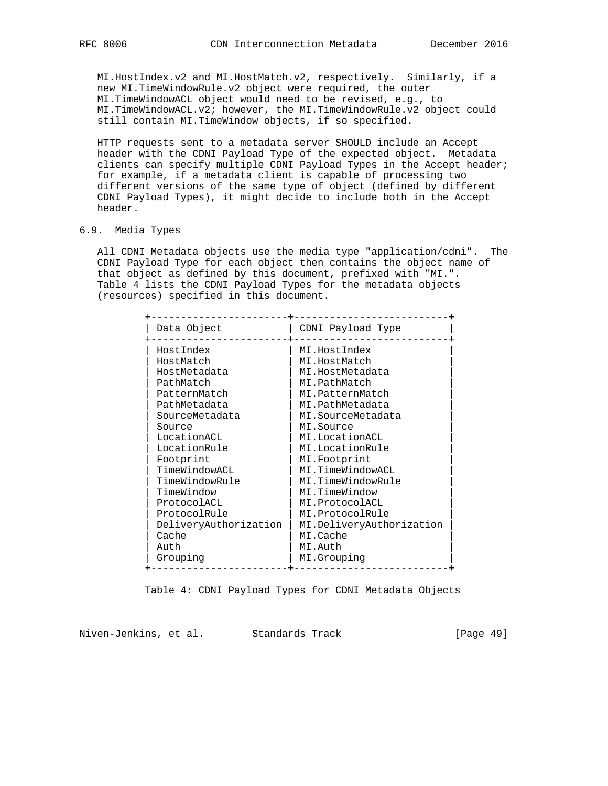MI.HostIndex.v2 and MI.HostMatch.v2, respectively. Similarly, if a new MI.TimeWindowRule.v2 object were required, the outer MI.TimeWindowACL object would need to be revised, e.g., to MI.TimeWindowACL.v2; however, the MI.TimeWindowRule.v2 object could still contain MI.TimeWindow objects, if so specified.

 HTTP requests sent to a metadata server SHOULD include an Accept header with the CDNI Payload Type of the expected object. Metadata clients can specify multiple CDNI Payload Types in the Accept header; for example, if a metadata client is capable of processing two different versions of the same type of object (defined by different CDNI Payload Types), it might decide to include both in the Accept header.

# 6.9. Media Types

 All CDNI Metadata objects use the media type "application/cdni". The CDNI Payload Type for each object then contains the object name of that object as defined by this document, prefixed with "MI.". Table 4 lists the CDNI Payload Types for the metadata objects (resources) specified in this document.

| Data Object                                                                                                                                                                                                                                                                           | CDNI Payload Type                                                                                                                                                                                                                                                                                                                              |
|---------------------------------------------------------------------------------------------------------------------------------------------------------------------------------------------------------------------------------------------------------------------------------------|------------------------------------------------------------------------------------------------------------------------------------------------------------------------------------------------------------------------------------------------------------------------------------------------------------------------------------------------|
| HostIndex<br>HostMatch<br>HostMetadata<br>PathMatch<br>PatternMatch<br>PathMetadata<br>SourceMetadata<br>Source<br>LocationACL<br>LocationRule<br>Footprint<br>TimeWindowACL<br>TimeWindowRule<br>TimeWindow<br>ProtocolACL<br>ProtocolRule<br>DeliveryAuthorization<br>Cache<br>Auth | MI.HostIndex<br>MI.HostMatch<br>MI.HostMetadata<br>MI.PathMatch<br>MI.PatternMatch<br>MI.PathMetadata<br>MI.SourceMetadata<br>MI.Source<br>MI.LocationACL<br>MI.LocationRule<br>MI.Footprint<br>MI.TimeWindowACL<br>MI.TimeWindowRule<br>MI.TimeWindow<br>MI.ProtocolACL<br>MI.ProtocolRule<br>MI.DeliveryAuthorization<br>MI.Cache<br>MI.Auth |
| Grouping                                                                                                                                                                                                                                                                              | MI.Grouping                                                                                                                                                                                                                                                                                                                                    |

Table 4: CDNI Payload Types for CDNI Metadata Objects

Niven-Jenkins, et al. Standards Track [Page 49]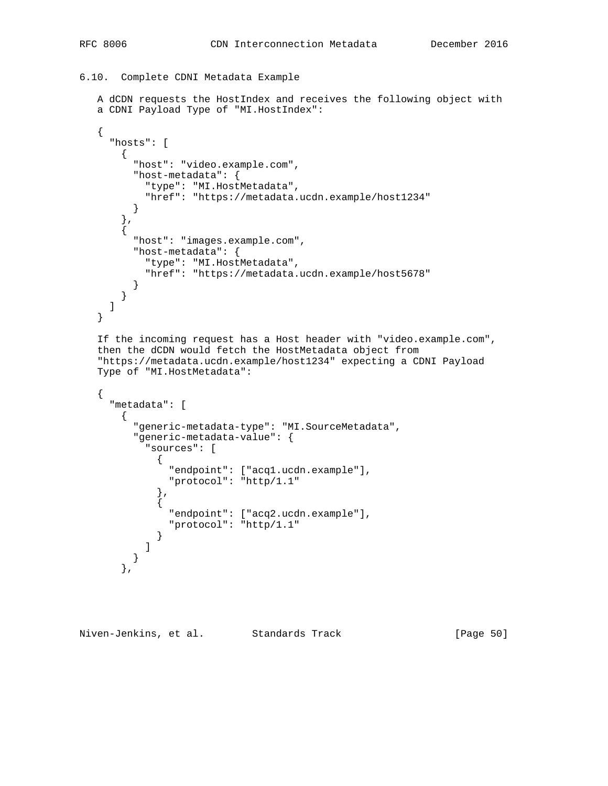```
6.10. Complete CDNI Metadata Example
```

```
 A dCDN requests the HostIndex and receives the following object with
   a CDNI Payload Type of "MI.HostIndex":
   {
      "hosts": [
       {
          "host": "video.example.com",
          "host-metadata": {
            "type": "MI.HostMetadata",
           "href": "https://metadata.ucdn.example/host1234"
          }
 },
\{ "host": "images.example.com",
          "host-metadata": {
           "type": "MI.HostMetadata",
           "href": "https://metadata.ucdn.example/host5678"
         }
       }
     ]
   }
   If the incoming request has a Host header with "video.example.com",
   then the dCDN would fetch the HostMetadata object from
   "https://metadata.ucdn.example/host1234" expecting a CDNI Payload
   Type of "MI.HostMetadata":
   {
      "metadata": [
      \left\{ \right. "generic-metadata-type": "MI.SourceMetadata",
          "generic-metadata-value": {
            "sources": [
\{ "endpoint": ["acq1.ucdn.example"],
                "protocol": "http/1.1"
              },
\{ "endpoint": ["acq2.ucdn.example"],
                "protocol": "http/1.1"
 }
           ]
          }
```
Niven-Jenkins, et al. Standards Track [Page 50]

},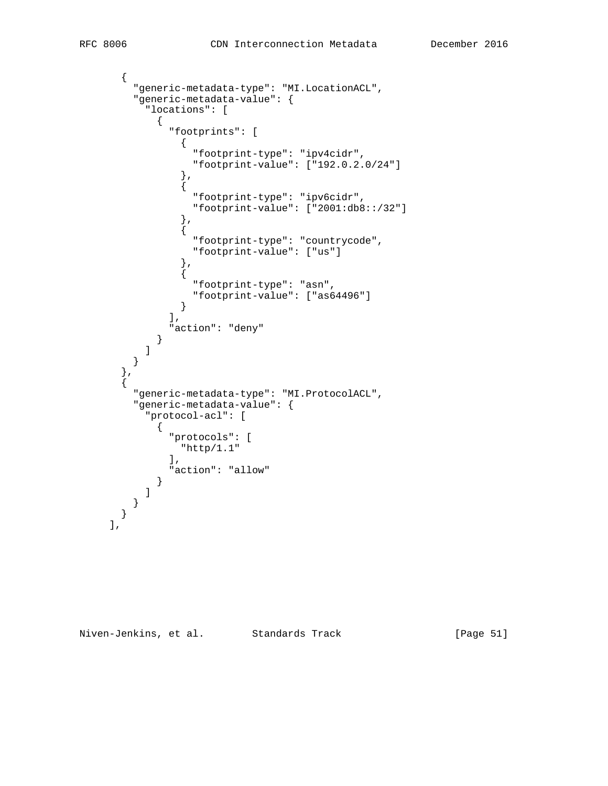```
 {
            "generic-metadata-type": "MI.LocationACL",
            "generic-metadata-value": {
              "locations": [
\{ "footprints": [
\{ "footprint-type": "ipv4cidr",
                        "footprint-value": ["192.0.2.0/24"]
                     },
\{ "footprint-type": "ipv6cidr",
                        "footprint-value": ["2001:db8::/32"]
                     },
{
                        "footprint-type": "countrycode",
                        "footprint-value": ["us"]
                     },
\{ "footprint-type": "asn",
                        "footprint-value": ["as64496"]
 }
                  ],
                "action": "deny"
 }
           \begin{matrix} 1 \end{matrix} }
         },
\{ "generic-metadata-type": "MI.ProtocolACL",
            "generic-metadata-value": {
              "protocol-acl": [
\{ "protocols": [
                    "http/1.1"
                  \mathbf{1},
                "action": "allow"
 }
 ]
 }
 }
\qquad \qquad \qquad \qquad \qquad \qquad \qquad \qquad \qquad \qquad \qquad \qquad \qquad \qquad \qquad \qquad \qquad \qquad \qquad \qquad \qquad \qquad \qquad \qquad \qquad \qquad \qquad \qquad \qquad \qquad \qquad \qquad \qquad \qquad \qquad \qquad \qquad \
```
Niven-Jenkins, et al. Standards Track [Page 51]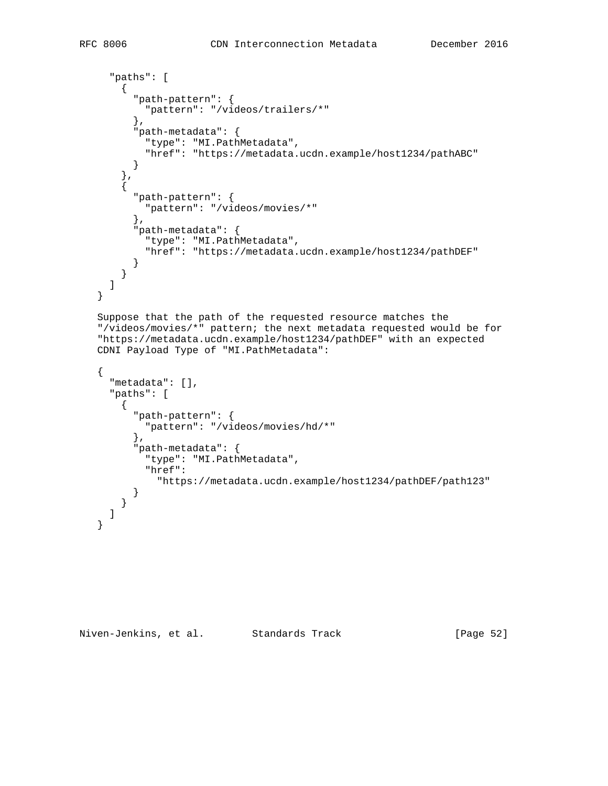```
 "paths": [
    \left\{ \right. "path-pattern": {
         "pattern": "/videos/trailers/*"
       },
       "path-metadata": {
         "type": "MI.PathMetadata",
         "href": "https://metadata.ucdn.example/host1234/pathABC"
       }
     },
     {
       "path-pattern": {
         "pattern": "/videos/movies/*"
       },
       "path-metadata": {
         "type": "MI.PathMetadata",
         "href": "https://metadata.ucdn.example/host1234/pathDEF"
       }
     }
   ]
 }
 Suppose that the path of the requested resource matches the
 "/videos/movies/*" pattern; the next metadata requested would be for
 "https://metadata.ucdn.example/host1234/pathDEF" with an expected
 CDNI Payload Type of "MI.PathMetadata":
 {
   "metadata": [],
   "paths": [
     {
       "path-pattern": {
         "pattern": "/videos/movies/hd/*"
       },
       "path-metadata": {
         "type": "MI.PathMetadata",
         "href":
            "https://metadata.ucdn.example/host1234/pathDEF/path123"
       }
     }
   ]
 }
```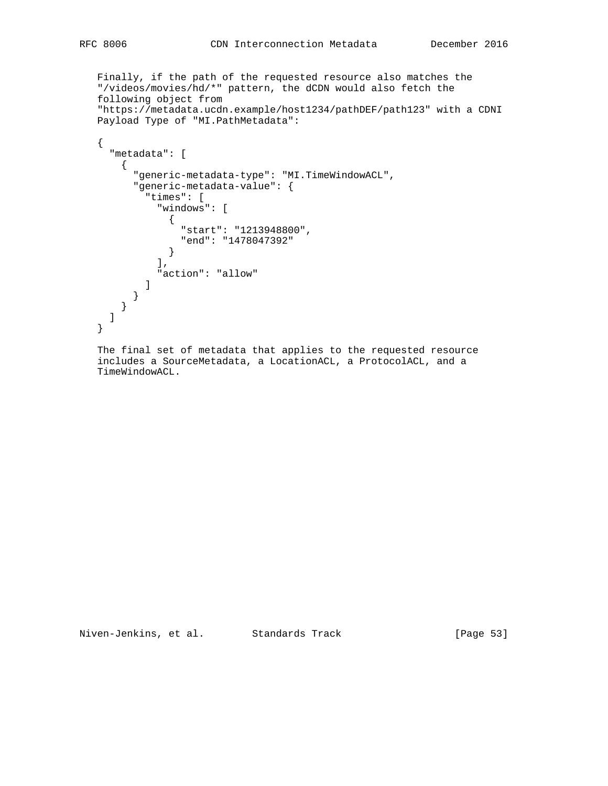Finally, if the path of the requested resource also matches the "/videos/movies/hd/\*" pattern, the dCDN would also fetch the following object from "https://metadata.ucdn.example/host1234/pathDEF/path123" with a CDNI Payload Type of "MI.PathMetadata":

```
 {
      "metadata": [
       {
          "generic-metadata-type": "MI.TimeWindowACL",
          "generic-metadata-value": {
            "times": [
              "windows": [
 {
                  "start": "1213948800",
                  "end": "1478047392"
               }
              ],
              "action": "allow"
          \Box }
       }
      ]
   }
```
 The final set of metadata that applies to the requested resource includes a SourceMetadata, a LocationACL, a ProtocolACL, and a TimeWindowACL.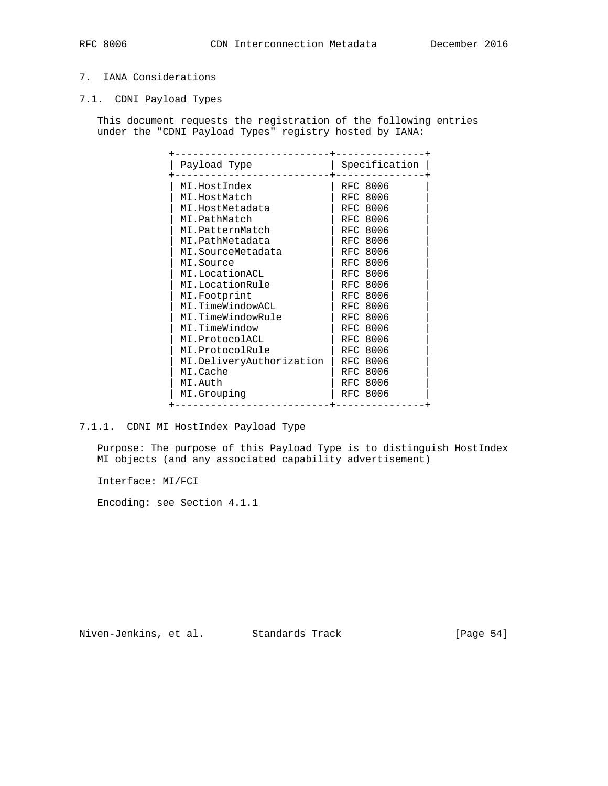# 7. IANA Considerations

7.1. CDNI Payload Types

 This document requests the registration of the following entries under the "CDNI Payload Types" registry hosted by IANA:

| Payload Type             | Specification   |
|--------------------------|-----------------|
| MI.HostIndex             | RFC 8006        |
| MI.HostMatch             | RFC 8006        |
| MI.HostMetadata          | RFC 8006        |
| MI.PathMatch             | RFC 8006        |
| MI.PatternMatch          | RFC 8006        |
| MI.PathMetadata          | RFC 8006        |
| MI.SourceMetadata        | RFC 8006        |
| MI.Source                | <b>RFC 8006</b> |
| MI.LocationACL           | RFC 8006        |
| MI.LocationRule          | RFC 8006        |
| MI.Footprint             | RFC 8006        |
| MI.TimeWindowACL         | RFC 8006        |
| MI.TimeWindowRule        | RFC 8006        |
| MI.TimeWindow            | RFC 8006        |
| MI.ProtocolACL           | RFC 8006        |
| MI.ProtocolRule          | RFC 8006        |
| MI.DeliveryAuthorization | <b>RFC 8006</b> |
| MI.Cache                 | RFC 8006        |
| MI.Auth                  | RFC 8006        |
| MI.Grouping              | RFC 8006        |

7.1.1. CDNI MI HostIndex Payload Type

 Purpose: The purpose of this Payload Type is to distinguish HostIndex MI objects (and any associated capability advertisement)

Interface: MI/FCI

Encoding: see Section 4.1.1

Niven-Jenkins, et al. Standards Track [Page 54]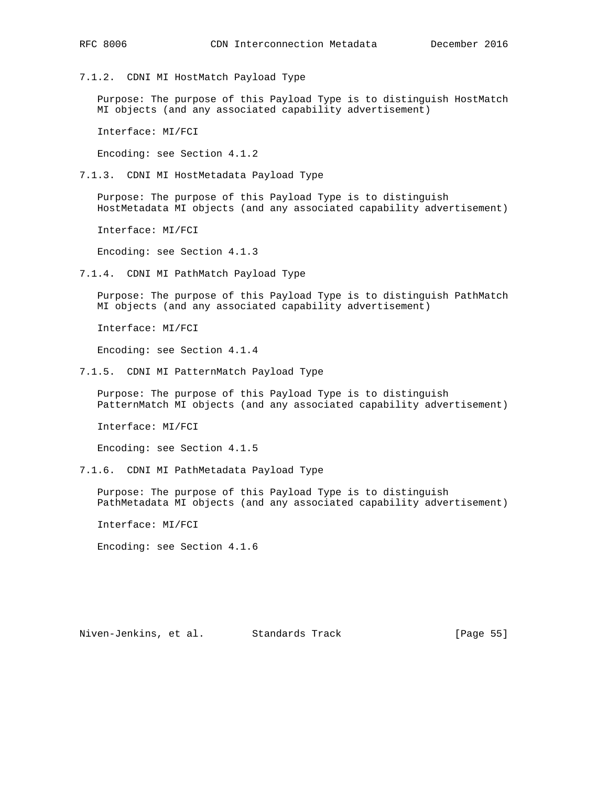7.1.2. CDNI MI HostMatch Payload Type

 Purpose: The purpose of this Payload Type is to distinguish HostMatch MI objects (and any associated capability advertisement)

Interface: MI/FCI

Encoding: see Section 4.1.2

7.1.3. CDNI MI HostMetadata Payload Type

 Purpose: The purpose of this Payload Type is to distinguish HostMetadata MI objects (and any associated capability advertisement)

Interface: MI/FCI

Encoding: see Section 4.1.3

7.1.4. CDNI MI PathMatch Payload Type

 Purpose: The purpose of this Payload Type is to distinguish PathMatch MI objects (and any associated capability advertisement)

Interface: MI/FCI

Encoding: see Section 4.1.4

7.1.5. CDNI MI PatternMatch Payload Type

 Purpose: The purpose of this Payload Type is to distinguish PatternMatch MI objects (and any associated capability advertisement)

Interface: MI/FCI

Encoding: see Section 4.1.5

7.1.6. CDNI MI PathMetadata Payload Type

 Purpose: The purpose of this Payload Type is to distinguish PathMetadata MI objects (and any associated capability advertisement)

Interface: MI/FCI

Encoding: see Section 4.1.6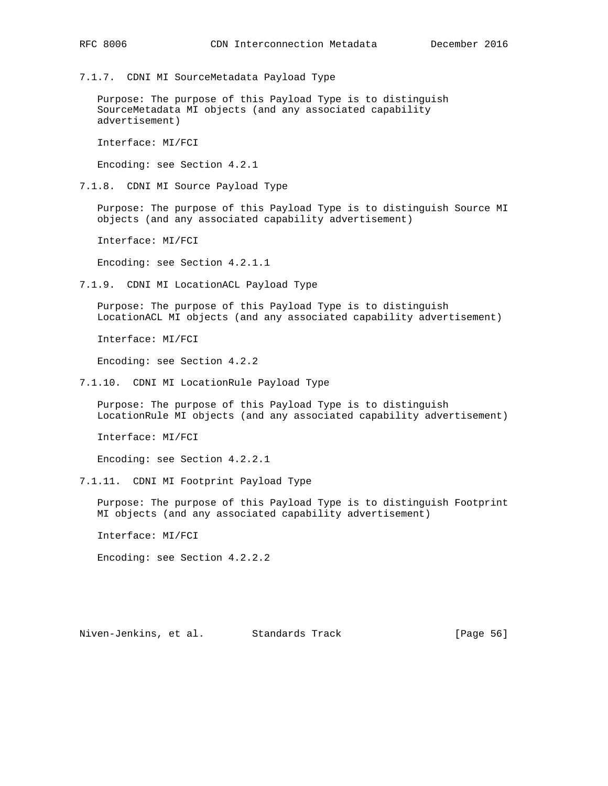7.1.7. CDNI MI SourceMetadata Payload Type

 Purpose: The purpose of this Payload Type is to distinguish SourceMetadata MI objects (and any associated capability advertisement)

Interface: MI/FCI

Encoding: see Section 4.2.1

7.1.8. CDNI MI Source Payload Type

 Purpose: The purpose of this Payload Type is to distinguish Source MI objects (and any associated capability advertisement)

Interface: MI/FCI

Encoding: see Section 4.2.1.1

7.1.9. CDNI MI LocationACL Payload Type

 Purpose: The purpose of this Payload Type is to distinguish LocationACL MI objects (and any associated capability advertisement)

Interface: MI/FCI

Encoding: see Section 4.2.2

7.1.10. CDNI MI LocationRule Payload Type

 Purpose: The purpose of this Payload Type is to distinguish LocationRule MI objects (and any associated capability advertisement)

Interface: MI/FCI

Encoding: see Section 4.2.2.1

7.1.11. CDNI MI Footprint Payload Type

 Purpose: The purpose of this Payload Type is to distinguish Footprint MI objects (and any associated capability advertisement)

Interface: MI/FCI

Encoding: see Section 4.2.2.2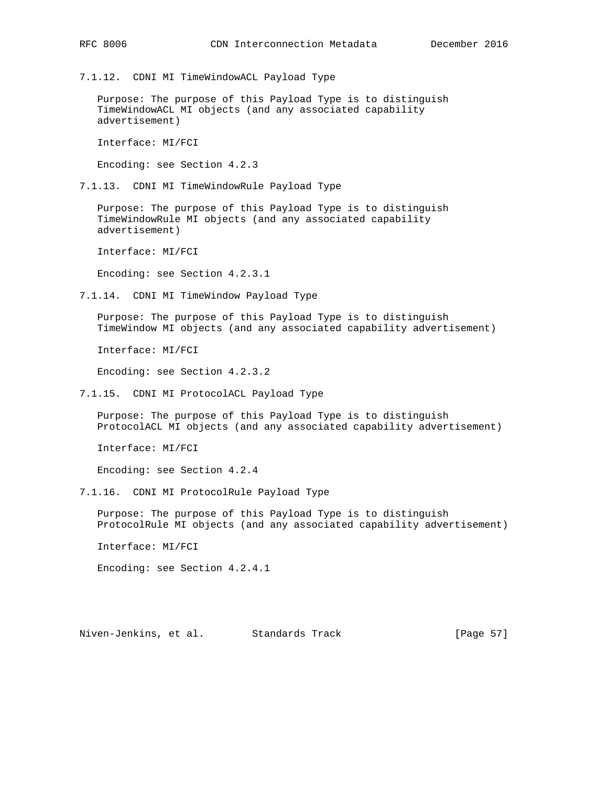7.1.12. CDNI MI TimeWindowACL Payload Type

 Purpose: The purpose of this Payload Type is to distinguish TimeWindowACL MI objects (and any associated capability advertisement)

Interface: MI/FCI

Encoding: see Section 4.2.3

7.1.13. CDNI MI TimeWindowRule Payload Type

 Purpose: The purpose of this Payload Type is to distinguish TimeWindowRule MI objects (and any associated capability advertisement)

Interface: MI/FCI

Encoding: see Section 4.2.3.1

7.1.14. CDNI MI TimeWindow Payload Type

 Purpose: The purpose of this Payload Type is to distinguish TimeWindow MI objects (and any associated capability advertisement)

Interface: MI/FCI

Encoding: see Section 4.2.3.2

7.1.15. CDNI MI ProtocolACL Payload Type

 Purpose: The purpose of this Payload Type is to distinguish ProtocolACL MI objects (and any associated capability advertisement)

Interface: MI/FCI

Encoding: see Section 4.2.4

7.1.16. CDNI MI ProtocolRule Payload Type

 Purpose: The purpose of this Payload Type is to distinguish ProtocolRule MI objects (and any associated capability advertisement)

Interface: MI/FCI

Encoding: see Section 4.2.4.1

Niven-Jenkins, et al. Standards Track [Page 57]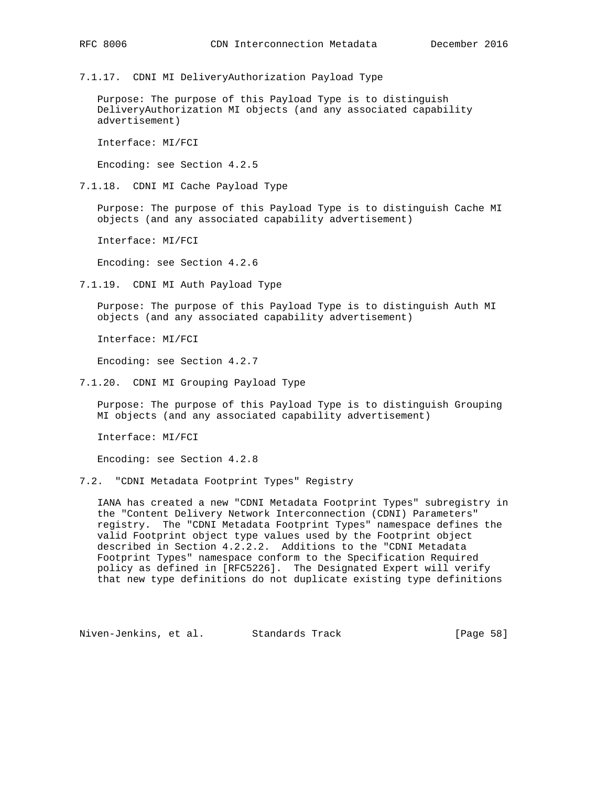7.1.17. CDNI MI DeliveryAuthorization Payload Type

 Purpose: The purpose of this Payload Type is to distinguish DeliveryAuthorization MI objects (and any associated capability advertisement)

Interface: MI/FCI

Encoding: see Section 4.2.5

7.1.18. CDNI MI Cache Payload Type

 Purpose: The purpose of this Payload Type is to distinguish Cache MI objects (and any associated capability advertisement)

Interface: MI/FCI

Encoding: see Section 4.2.6

7.1.19. CDNI MI Auth Payload Type

 Purpose: The purpose of this Payload Type is to distinguish Auth MI objects (and any associated capability advertisement)

Interface: MI/FCI

Encoding: see Section 4.2.7

7.1.20. CDNI MI Grouping Payload Type

 Purpose: The purpose of this Payload Type is to distinguish Grouping MI objects (and any associated capability advertisement)

Interface: MI/FCI

Encoding: see Section 4.2.8

7.2. "CDNI Metadata Footprint Types" Registry

 IANA has created a new "CDNI Metadata Footprint Types" subregistry in the "Content Delivery Network Interconnection (CDNI) Parameters" registry. The "CDNI Metadata Footprint Types" namespace defines the valid Footprint object type values used by the Footprint object described in Section 4.2.2.2. Additions to the "CDNI Metadata Footprint Types" namespace conform to the Specification Required policy as defined in [RFC5226]. The Designated Expert will verify that new type definitions do not duplicate existing type definitions

Niven-Jenkins, et al. Standards Track [Page 58]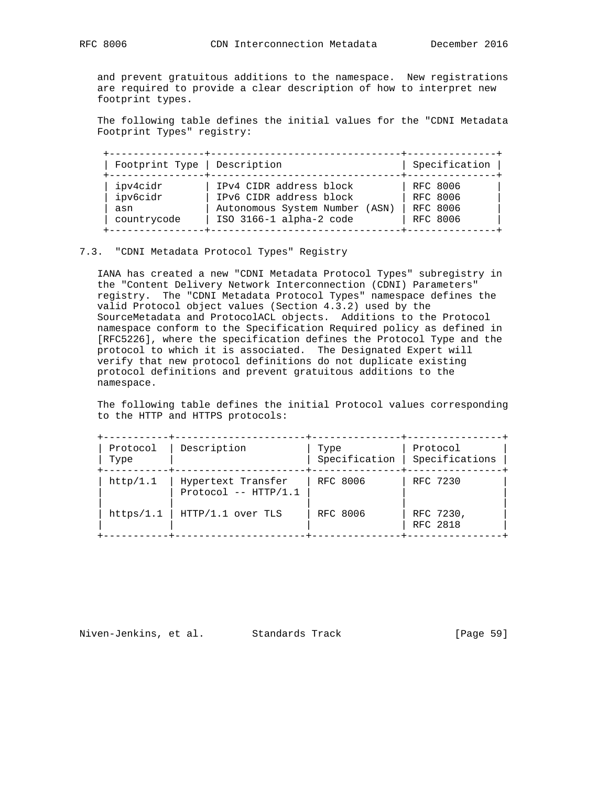and prevent gratuitous additions to the namespace. New registrations are required to provide a clear description of how to interpret new footprint types.

 The following table defines the initial values for the "CDNI Metadata Footprint Types" registry:

| Footprint Type   Description |                                | Specification   |
|------------------------------|--------------------------------|-----------------|
| ipv4cidr                     | IPv4 CIDR address block        | RFC 8006        |
| ipv6cidr                     | IPv6 CIDR address block        | RFC 8006        |
| asn                          | Autonomous System Number (ASN) | RFC 8006        |
| countrycode                  | ISO 3166-1 alpha-2 code        | <b>RFC 8006</b> |

#### 7.3. "CDNI Metadata Protocol Types" Registry

 IANA has created a new "CDNI Metadata Protocol Types" subregistry in the "Content Delivery Network Interconnection (CDNI) Parameters" registry. The "CDNI Metadata Protocol Types" namespace defines the valid Protocol object values (Section 4.3.2) used by the SourceMetadata and ProtocolACL objects. Additions to the Protocol namespace conform to the Specification Required policy as defined in [RFC5226], where the specification defines the Protocol Type and the protocol to which it is associated. The Designated Expert will verify that new protocol definitions do not duplicate existing protocol definitions and prevent gratuitous additions to the namespace.

 The following table defines the initial Protocol values corresponding to the HTTP and HTTPS protocols:

| Protocol<br>Type | Description                                  | Type<br>Specification | Protocol<br>Specifications |
|------------------|----------------------------------------------|-----------------------|----------------------------|
| http/1.1         | Hypertext Transfer<br>Protocol $--$ HTTP/1.1 | RFC 8006              | RFC 7230                   |
| https/1.1        | HTTP/1.1 over TLS                            | RFC 8006              | RFC 7230,<br>RFC 2818      |

Niven-Jenkins, et al. Standards Track [Page 59]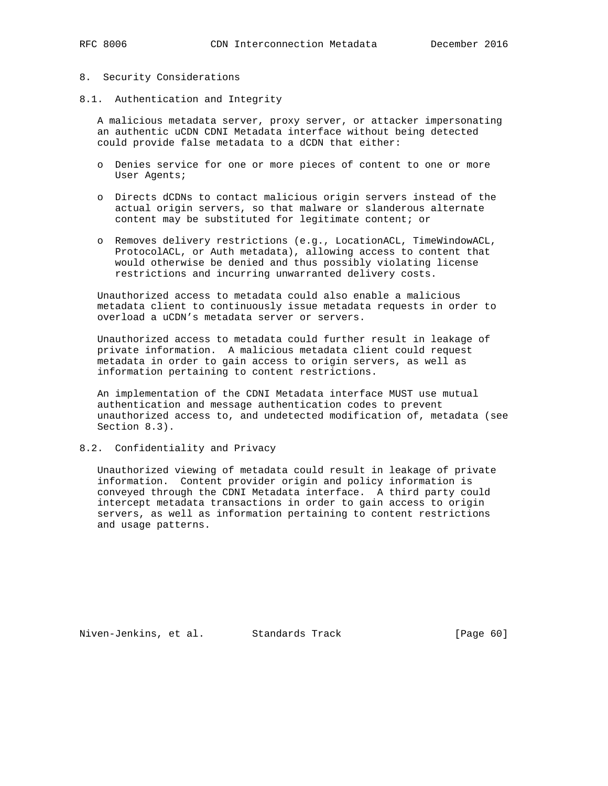#### 8. Security Considerations

8.1. Authentication and Integrity

 A malicious metadata server, proxy server, or attacker impersonating an authentic uCDN CDNI Metadata interface without being detected could provide false metadata to a dCDN that either:

- o Denies service for one or more pieces of content to one or more User Agents;
- o Directs dCDNs to contact malicious origin servers instead of the actual origin servers, so that malware or slanderous alternate content may be substituted for legitimate content; or
- o Removes delivery restrictions (e.g., LocationACL, TimeWindowACL, ProtocolACL, or Auth metadata), allowing access to content that would otherwise be denied and thus possibly violating license restrictions and incurring unwarranted delivery costs.

 Unauthorized access to metadata could also enable a malicious metadata client to continuously issue metadata requests in order to overload a uCDN's metadata server or servers.

 Unauthorized access to metadata could further result in leakage of private information. A malicious metadata client could request metadata in order to gain access to origin servers, as well as information pertaining to content restrictions.

 An implementation of the CDNI Metadata interface MUST use mutual authentication and message authentication codes to prevent unauthorized access to, and undetected modification of, metadata (see Section 8.3).

#### 8.2. Confidentiality and Privacy

 Unauthorized viewing of metadata could result in leakage of private information. Content provider origin and policy information is conveyed through the CDNI Metadata interface. A third party could intercept metadata transactions in order to gain access to origin servers, as well as information pertaining to content restrictions and usage patterns.

Niven-Jenkins, et al. Standards Track [Page 60]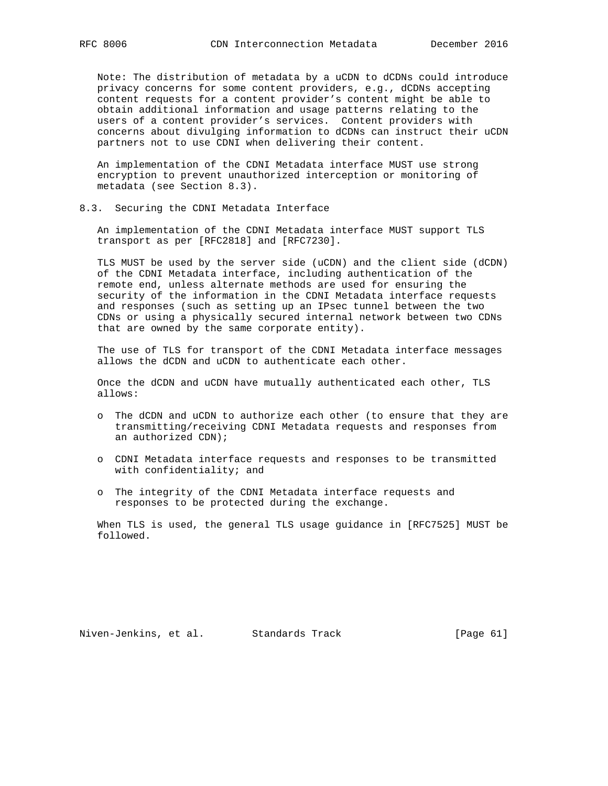Note: The distribution of metadata by a uCDN to dCDNs could introduce privacy concerns for some content providers, e.g., dCDNs accepting content requests for a content provider's content might be able to obtain additional information and usage patterns relating to the users of a content provider's services. Content providers with concerns about divulging information to dCDNs can instruct their uCDN partners not to use CDNI when delivering their content.

 An implementation of the CDNI Metadata interface MUST use strong encryption to prevent unauthorized interception or monitoring of metadata (see Section 8.3).

8.3. Securing the CDNI Metadata Interface

 An implementation of the CDNI Metadata interface MUST support TLS transport as per [RFC2818] and [RFC7230].

 TLS MUST be used by the server side (uCDN) and the client side (dCDN) of the CDNI Metadata interface, including authentication of the remote end, unless alternate methods are used for ensuring the security of the information in the CDNI Metadata interface requests and responses (such as setting up an IPsec tunnel between the two CDNs or using a physically secured internal network between two CDNs that are owned by the same corporate entity).

 The use of TLS for transport of the CDNI Metadata interface messages allows the dCDN and uCDN to authenticate each other.

 Once the dCDN and uCDN have mutually authenticated each other, TLS allows:

- o The dCDN and uCDN to authorize each other (to ensure that they are transmitting/receiving CDNI Metadata requests and responses from an authorized CDN);
- o CDNI Metadata interface requests and responses to be transmitted with confidentiality; and
- o The integrity of the CDNI Metadata interface requests and responses to be protected during the exchange.

 When TLS is used, the general TLS usage guidance in [RFC7525] MUST be followed.

Niven-Jenkins, et al. Standards Track [Page 61]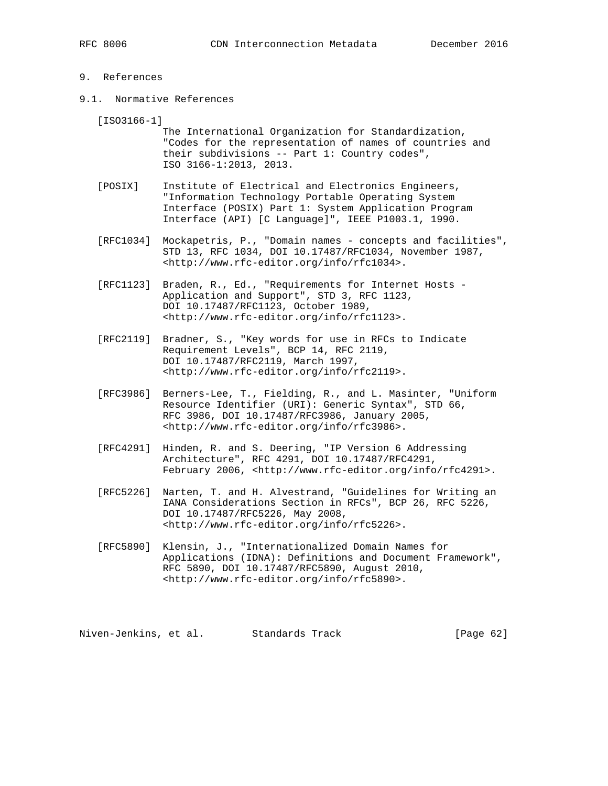#### 9. References

9.1. Normative References

[ISO3166-1]

 The International Organization for Standardization, "Codes for the representation of names of countries and their subdivisions -- Part 1: Country codes", ISO 3166-1:2013, 2013.

- [POSIX] Institute of Electrical and Electronics Engineers, "Information Technology Portable Operating System Interface (POSIX) Part 1: System Application Program Interface (API) [C Language]", IEEE P1003.1, 1990.
- [RFC1034] Mockapetris, P., "Domain names concepts and facilities", STD 13, RFC 1034, DOI 10.17487/RFC1034, November 1987, <http://www.rfc-editor.org/info/rfc1034>.
- [RFC1123] Braden, R., Ed., "Requirements for Internet Hosts Application and Support", STD 3, RFC 1123, DOI 10.17487/RFC1123, October 1989, <http://www.rfc-editor.org/info/rfc1123>.
- [RFC2119] Bradner, S., "Key words for use in RFCs to Indicate Requirement Levels", BCP 14, RFC 2119, DOI 10.17487/RFC2119, March 1997, <http://www.rfc-editor.org/info/rfc2119>.
- [RFC3986] Berners-Lee, T., Fielding, R., and L. Masinter, "Uniform Resource Identifier (URI): Generic Syntax", STD 66, RFC 3986, DOI 10.17487/RFC3986, January 2005, <http://www.rfc-editor.org/info/rfc3986>.
- [RFC4291] Hinden, R. and S. Deering, "IP Version 6 Addressing Architecture", RFC 4291, DOI 10.17487/RFC4291, February 2006, <http://www.rfc-editor.org/info/rfc4291>.
- [RFC5226] Narten, T. and H. Alvestrand, "Guidelines for Writing an IANA Considerations Section in RFCs", BCP 26, RFC 5226, DOI 10.17487/RFC5226, May 2008, <http://www.rfc-editor.org/info/rfc5226>.
- [RFC5890] Klensin, J., "Internationalized Domain Names for Applications (IDNA): Definitions and Document Framework", RFC 5890, DOI 10.17487/RFC5890, August 2010, <http://www.rfc-editor.org/info/rfc5890>.

Niven-Jenkins, et al. Standards Track [Page 62]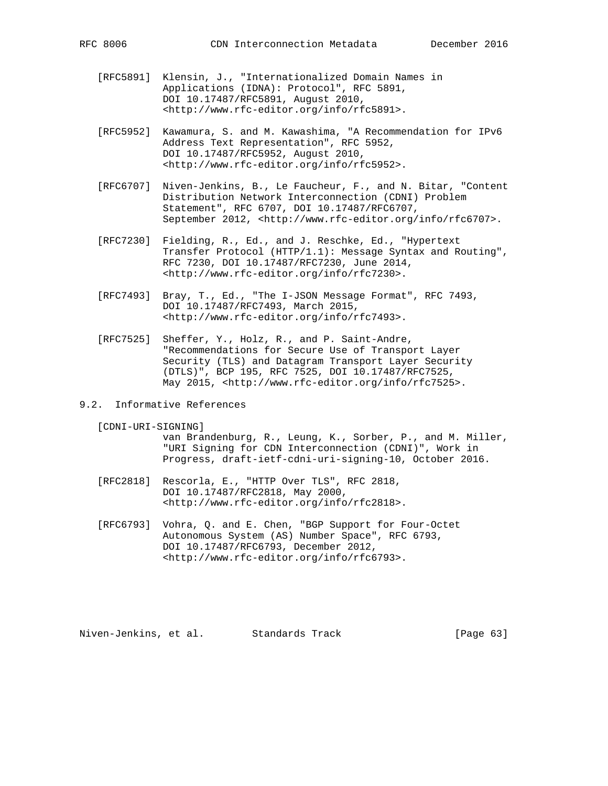- [RFC5891] Klensin, J., "Internationalized Domain Names in Applications (IDNA): Protocol", RFC 5891, DOI 10.17487/RFC5891, August 2010, <http://www.rfc-editor.org/info/rfc5891>.
- [RFC5952] Kawamura, S. and M. Kawashima, "A Recommendation for IPv6 Address Text Representation", RFC 5952, DOI 10.17487/RFC5952, August 2010, <http://www.rfc-editor.org/info/rfc5952>.
- [RFC6707] Niven-Jenkins, B., Le Faucheur, F., and N. Bitar, "Content Distribution Network Interconnection (CDNI) Problem Statement", RFC 6707, DOI 10.17487/RFC6707, September 2012, <http://www.rfc-editor.org/info/rfc6707>.
- [RFC7230] Fielding, R., Ed., and J. Reschke, Ed., "Hypertext Transfer Protocol (HTTP/1.1): Message Syntax and Routing", RFC 7230, DOI 10.17487/RFC7230, June 2014, <http://www.rfc-editor.org/info/rfc7230>.
- [RFC7493] Bray, T., Ed., "The I-JSON Message Format", RFC 7493, DOI 10.17487/RFC7493, March 2015, <http://www.rfc-editor.org/info/rfc7493>.
- [RFC7525] Sheffer, Y., Holz, R., and P. Saint-Andre, "Recommendations for Secure Use of Transport Layer Security (TLS) and Datagram Transport Layer Security (DTLS)", BCP 195, RFC 7525, DOI 10.17487/RFC7525, May 2015, <http://www.rfc-editor.org/info/rfc7525>.
- 9.2. Informative References
	- [CDNI-URI-SIGNING]

 van Brandenburg, R., Leung, K., Sorber, P., and M. Miller, "URI Signing for CDN Interconnection (CDNI)", Work in Progress, draft-ietf-cdni-uri-signing-10, October 2016.

- [RFC2818] Rescorla, E., "HTTP Over TLS", RFC 2818, DOI 10.17487/RFC2818, May 2000, <http://www.rfc-editor.org/info/rfc2818>.
- [RFC6793] Vohra, Q. and E. Chen, "BGP Support for Four-Octet Autonomous System (AS) Number Space", RFC 6793, DOI 10.17487/RFC6793, December 2012, <http://www.rfc-editor.org/info/rfc6793>.

Niven-Jenkins, et al. Standards Track [Page 63]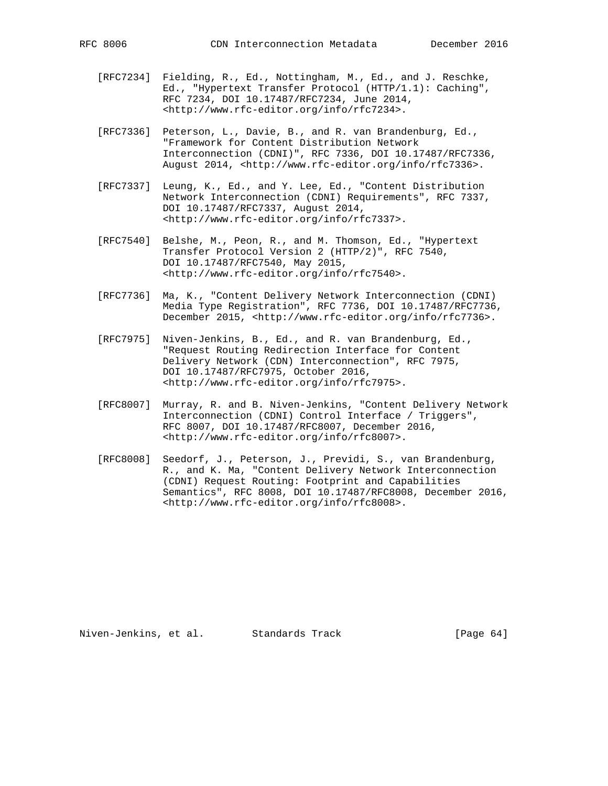- [RFC7234] Fielding, R., Ed., Nottingham, M., Ed., and J. Reschke, Ed., "Hypertext Transfer Protocol (HTTP/1.1): Caching", RFC 7234, DOI 10.17487/RFC7234, June 2014, <http://www.rfc-editor.org/info/rfc7234>.
- [RFC7336] Peterson, L., Davie, B., and R. van Brandenburg, Ed., "Framework for Content Distribution Network Interconnection (CDNI)", RFC 7336, DOI 10.17487/RFC7336, August 2014, <http://www.rfc-editor.org/info/rfc7336>.
- [RFC7337] Leung, K., Ed., and Y. Lee, Ed., "Content Distribution Network Interconnection (CDNI) Requirements", RFC 7337, DOI 10.17487/RFC7337, August 2014, <http://www.rfc-editor.org/info/rfc7337>.
- [RFC7540] Belshe, M., Peon, R., and M. Thomson, Ed., "Hypertext Transfer Protocol Version 2 (HTTP/2)", RFC 7540, DOI 10.17487/RFC7540, May 2015, <http://www.rfc-editor.org/info/rfc7540>.
- [RFC7736] Ma, K., "Content Delivery Network Interconnection (CDNI) Media Type Registration", RFC 7736, DOI 10.17487/RFC7736, December 2015, <http://www.rfc-editor.org/info/rfc7736>.
- [RFC7975] Niven-Jenkins, B., Ed., and R. van Brandenburg, Ed., "Request Routing Redirection Interface for Content Delivery Network (CDN) Interconnection", RFC 7975, DOI 10.17487/RFC7975, October 2016, <http://www.rfc-editor.org/info/rfc7975>.
- [RFC8007] Murray, R. and B. Niven-Jenkins, "Content Delivery Network Interconnection (CDNI) Control Interface / Triggers", RFC 8007, DOI 10.17487/RFC8007, December 2016, <http://www.rfc-editor.org/info/rfc8007>.
- [RFC8008] Seedorf, J., Peterson, J., Previdi, S., van Brandenburg, R., and K. Ma, "Content Delivery Network Interconnection (CDNI) Request Routing: Footprint and Capabilities Semantics", RFC 8008, DOI 10.17487/RFC8008, December 2016, <http://www.rfc-editor.org/info/rfc8008>.

Niven-Jenkins, et al. Standards Track [Page 64]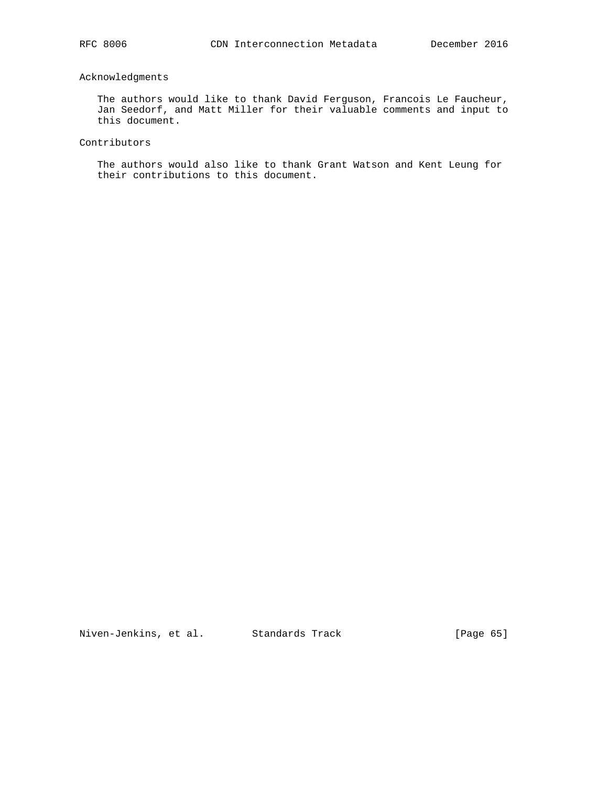# Acknowledgments

 The authors would like to thank David Ferguson, Francois Le Faucheur, Jan Seedorf, and Matt Miller for their valuable comments and input to this document.

# Contributors

 The authors would also like to thank Grant Watson and Kent Leung for their contributions to this document.

Niven-Jenkins, et al. Standards Track [Page 65]